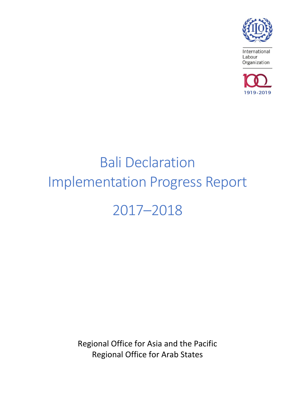

International Labour Organization



# Bali Declaration Implementation Progress Report 2017–2018

Regional Office for Asia and the Pacific Regional Office for Arab States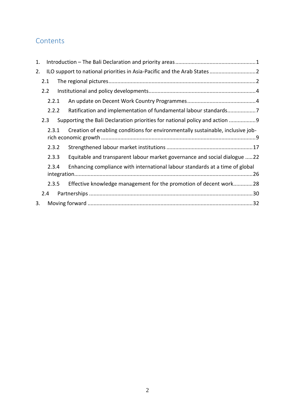# **Contents**

| 1. |       |                                                                                 |  |
|----|-------|---------------------------------------------------------------------------------|--|
| 2. |       |                                                                                 |  |
|    | 2.1   |                                                                                 |  |
|    | 2.2   |                                                                                 |  |
|    | 2.2.1 |                                                                                 |  |
|    | 2.2.2 |                                                                                 |  |
|    | 2.3   | Supporting the Bali Declaration priorities for national policy and action 9     |  |
|    | 2.3.1 | Creation of enabling conditions for environmentally sustainable, inclusive job- |  |
|    | 2.3.2 |                                                                                 |  |
|    | 2.3.3 | Equitable and transparent labour market governance and social dialogue 22       |  |
|    | 2.3.4 | Enhancing compliance with international labour standards at a time of global    |  |
|    | 2.3.5 | Effective knowledge management for the promotion of decent work28               |  |
|    | 2.4   |                                                                                 |  |
| 3. |       |                                                                                 |  |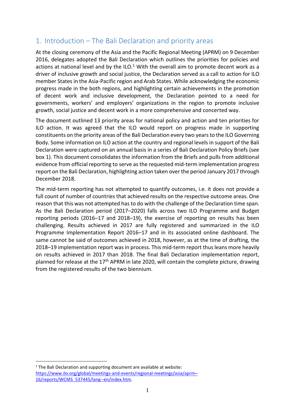# <span id="page-2-0"></span>1. Introduction – The Bali Declaration and priority areas

At the closing ceremony of the Asia and the Pacific Regional Meeting (APRM) on 9 December 2016, delegates adopted the Bali Declaration which outlines the priorities for policies and actions at national level and by the ILO.<sup>1</sup> With the overall aim to promote decent work as a driver of inclusive growth and social justice, the Declaration served as a call to action for ILO member States in the Asia-Pacific region and Arab States. While acknowledging the economic progress made in the both regions, and highlighting certain achievements in the promotion of decent work and inclusive development, the Declaration pointed to a need for governments, workers' and employers' organizations in the region to promote inclusive growth, social justice and decent work in a more comprehensive and concerted way.

The document outlined 13 priority areas for national policy and action and ten priorities for ILO action. It was agreed that the ILO would report on progress made in supporting constituents on the priority areas of the Bali Declaration every two years to the ILO Governing Body. Some information on ILO action at the country and regional levels in support of the Bali Declaration were captured on an annual basis in a series of Bali Declaration Policy Briefs (see box 1). This document consolidates the information from the Briefs and pulls from additional evidence from official reporting to serve as the requested mid-term implementation progress report on the Bali Declaration, highlighting action taken over the period January 2017 through December 2018.

The mid-term reporting has not attempted to quantify outcomes, i.e. it does not provide a full count of number of countries that achieved results on the respective outcome areas. One reason that this was not attempted has to do with the challenge of the Declaration time span. As the Bali Declaration period (2017–2020) falls across two ILO Programme and Budget reporting periods (2016–17 and 2018–19), the exercise of reporting on results has been challenging. Results achieved in 2017 are fully registered and summarized in the ILO Programme Implementation Report 2016–17 and in its associated online dashboard. The same cannot be said of outcomes achieved in 2018, however, as at the time of drafting, the 2018–19 implementation report was in process. This mid-term report thus leans more heavily on results achieved in 2017 than 2018. The final Bali Declaration implementation report, planned for release at the  $17<sup>th</sup>$  APRM in late 2020, will contain the complete picture, drawing from the registered results of the two biennium.

<span id="page-2-1"></span><u>.</u>

<sup>&</sup>lt;sup>1</sup> The Bali Declaration and supporting document are available at website: [https://www.ilo.org/global/meetings-and-events/regional-meetings/asia/aprm](https://www.ilo.org/global/meetings-and-events/regional-meetings/asia/aprm-16/reports/WCMS_537445/lang--en/index.htm)– [16/reports/WCMS\\_537445/lang--en/index.htm.](https://www.ilo.org/global/meetings-and-events/regional-meetings/asia/aprm-16/reports/WCMS_537445/lang--en/index.htm)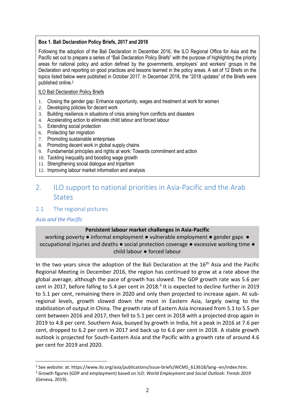#### **Box 1. Bali Declaration Policy Briefs, 2017 and 2018**

Following the adoption of the Bali Declaration in December 2016, the ILO Regional Office for Asia and the Pacific set out to prepare a series of "Bali Declaration Policy Briefs" with the purpose of highlighting the priority areas for national policy and action defined by the governments, employers' and workers' groups in the Declaration and reporting on good practices and lessons learned in the policy areas. A set of 12 Briefs on the topics listed below were published in October 2017. In December 2018, the "2018 updates" of the Briefs were published online.<sup>2</sup>

#### ILO Bali Declaration Policy Briefs

- 1. Closing the gender gap: Enhance opportunity, wages and treatment at work for women
- 2. Developing policies for decent work
- 3. Building resilience in situations of crisis arising from conflicts and disasters
- 4. Accelerating action to eliminate child labour and forced labour
- 5. Extending social protection
- 6. Protecting fair migration
- 7. Promoting sustainable enterprises
- 8. Promoting decent work in global supply chains
- 9. Fundamental principles and rights at work: Towards commitment and action
- 10. Tackling inequality and boosting wage growth
- 11. Strengthening social dialogue and tripartism
- 12. Improving labour market information and analysis

# 2. ILO support to national priorities in Asia-Pacific and the Arab **States**

# <span id="page-3-0"></span>2.1 The regional pictures

# *Asia and the Pacific*

# **Persistent labour market challenges in Asia-Pacific**

working poverty • informal employment • vulnerable employment • gender gaps • occupational injuries and deaths ● social protection coverage ● excessive working time ● child labour ● forced labour

In the two years since the adoption of the Bali Declaration at the  $16<sup>th</sup>$  Asia and the Pacific Regional Meeting in December 2016, the region has continued to grow at a rate above the global average, although the pace of growth has slowed. The GDP growth rate was 5.6 per cent in 2017, before falling to 5.4 per cent in 2018. $3$  It is expected to decline further in 2019 to 5.1 per cent, remaining there in 2020 and only then projected to increase again. At subregional levels, growth slowed down the most in Eastern Asia, largely owing to the stabilization of output in China. The growth rate of Eastern Asia increased from 5.1 to 5.5 per cent between 2016 and 2017, then fell to 5.1 per cent in 2018 with a projected drop again in 2019 to 4.8 per cent. Southern Asia, buoyed by growth in India, hit a peak in 2016 at 7.6 per cent, dropped to 6.2 per cent in 2017 and back up to 6.6 per cent in 2018. A stable growth outlook is projected for South-Eastern Asia and the Pacific with a growth rate of around 4.6 per cent for 2019 and 2020.

<sup>&</sup>lt;u>.</u> <sup>2</sup> See website: at: [https://www.ilo.org/asia/publications/issue-briefs/WCMS\\_613618/lang--en/index.htm.](https://www.ilo.org/asia/publications/issue-briefs/WCMS_613618/lang--en/index.htm)

<sup>3</sup> Growth figures (GDP and employment) based on ILO: *World Employment and Social Outlook: Trends 2019* (Geneva, 2019).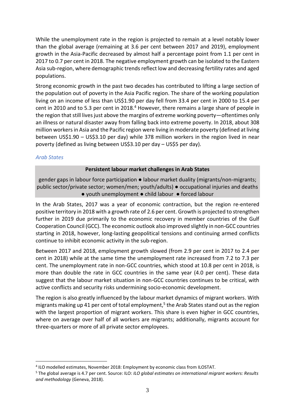While the unemployment rate in the region is projected to remain at a level notably lower than the global average (remaining at 3.6 per cent between 2017 and 2019), employment growth in the Asia-Pacific decreased by almost half a percentage point from 1.1 per cent in 2017 to 0.7 per cent in 2018. The negative employment growth can be isolated to the Eastern Asia sub-region, where demographic trends reflect low and decreasing fertility rates and aged populations.

Strong economic growth in the past two decades has contributed to lifting a large section of the population out of poverty in the Asia Pacific region. The share of the working population living on an income of less than US\$1.90 per day fell from 33.4 per cent in 2000 to 15.4 per cent in 2010 and to 5.3 per cent in 2018. <sup>4</sup> However, there remains a large share of people in the region that still lives just above the margins of extreme working poverty—oftentimes only an illness or natural disaster away from falling back into extreme poverty. In 2018, about 308 million workers in Asia and the Pacific region were living in moderate poverty (defined at living between US\$1.90 – US\$3.10 per day) while 378 million workers in the region lived in near poverty (defined as living between US\$3.10 per day – US\$5 per day).

### *Arab States*

<u>.</u>

### **Persistent labour market challenges in Arab States**

gender gaps in labour force participation ● labour market duality (migrants/non-migrants; public sector/private sector; women/men; youth/adults) ● occupational injuries and deaths ● youth unemployment ● child labour ● forced labour

In the Arab States, 2017 was a year of economic contraction, but the region re-entered positive territory in 2018 with a growth rate of 2.6 per cent. Growth is projected to strengthen further in 2019 due primarily to the economic recovery in member countries of the Gulf Cooperation Council (GCC). The economic outlook also improved slightly in non-GCC countries starting in 2018, however, long-lasting geopolitical tensions and continuing armed conflicts continue to inhibit economic activity in the sub-region.

Between 2017 and 2018, employment growth slowed (from 2.9 per cent in 2017 to 2.4 per cent in 2018) while at the same time the unemployment rate increased from 7.2 to 7.3 per cent. The unemployment rate in non-GCC countries, which stood at 10.8 per cent in 2018, is more than double the rate in GCC countries in the same year (4.0 per cent). These data suggest that the labour market situation in non-GCC countries continues to be critical, with active conflicts and security risks undermining socio-economic development.

The region is also greatly influenced by the labour market dynamics of migrant workers. With migrants making up 41 per cent of total employment,<sup>5</sup> the Arab States stand out as the region with the largest proportion of migrant workers. This share is even higher in GCC countries, where on average over half of all workers are migrants; additionally, migrants account for three-quarters or more of all private sector employees.

<sup>4</sup> ILO modelled estimates, November 2018: Employment by economic class from ILOSTAT.

<sup>5</sup> The global average is 4.7 per cent. Source: ILO: *ILO global estimates on international migrant workers: Results and methodology* (Geneva, 2018).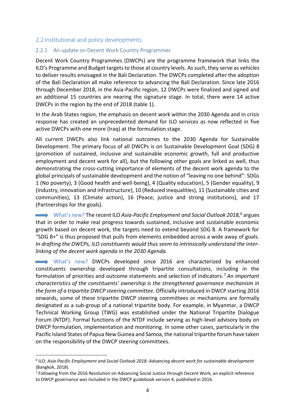# <span id="page-5-0"></span>2.2 Institutional and policy developments

### <span id="page-5-1"></span>2.2.1 An update on Decent Work Country Programmes

Decent Work Country Programmes (DWCPs) are the programme framework that links the ILO's Programme and Budget targets to those at country levels. As such, they serve as vehicles to deliver results envisaged in the Bali Declaration. The DWCPs completed after the adoption of the Bali Declaration all make reference to advancing the Bali Declaration. Since late 2016 through December 2018, in the Asia-Pacific region, 12 DWCPs were finalized and signed and an additional 15 countries are nearing the signature stage. In total, there were 14 active DWCPs in the region by the end of 2018 (table 1).

In the Arab States region, the emphasis on decent work within the 2030 Agenda and in crisis response has created an unprecedented demand for ILO services as now reflected in five active DWCPs with one more (Iraq) at the formulation stage.

All current DWCPs also link national outcomes to the 2030 Agenda for Sustainable Development. The primary focus of all DWCPs is on Sustainable Development Goal (SDG) 8 (promotion of sustained, inclusive and sustainable economic growth, full and productive employment and decent work for all), but the following other goals are linked as well, thus demonstrating the cross-cutting importance of elements of the decent work agenda to the global principals of sustainable development and the notion of "leaving no one behind": SDGs 1 (No poverty), 3 (Good health and well-being), 4 (Quality education), 5 (Gender equality), 9 (Industry, innovation and infrastructure), 10 (Reduced inequalities), 11 (Sustainable cities and communities), 13 (Climate action), 16 (Peace, justice and strong institutions), and 17 (Partnerships for the goals).

What's new? The recent ILO *Asia-Pacific Employment and Social Outlook 2018,<sup>6</sup>* argues that in order to make real progress towards sustained, inclusive and sustainable economic growth based on decent work, the targets need to extend beyond SDG 8. A framework for "SDG 8+" is thus proposed that pulls from elements embedded across a wide away of goals. *In drafting the DWCPs, ILO constituents would thus seem to intrinsically understand the interlinking of the decent work agenda in the 2030 Agenda.* 

What's new? DWCPs developed since 2016 are characterized by enhanced constituents ownership developed through tripartite consultations, including in the formulation of priorities and outcome statements and selection of indicators.*<sup>7</sup> An important characteristics of the constituents' ownership is the strengthened governance mechanism in the form of a tripartite DWCP steering committee.* Officially introduced in DWCP starting 2016 onwards, some of these tripartite DWCP steering committees or mechanisms are formally designated as a sub-group of a national tripartite body. For example, in Myanmar, a DWCP Technical Working Group (TWG) was established under the National Tripartite Dialogue Forum (NTDF). Formal functions of the NTDF include serving as high-level advisory body on DWCP formulation, implementation and monitoring. In some other cases, particularly in the Pacific Island States of Papua New Guinea and Samoa, the national tripartite forum have taken on the responsibility of the DWCP steering committees.

1

<sup>6</sup> ILO: *Asia-Pacific Employment and Social Outlook 2018: Advancing decent work for sustainable development*  (Bangkok, 2018).

<sup>&</sup>lt;sup>7</sup> Following from the 2016 Resolution on Advancing Social Justice through Decent Work, an explicit reference to DWCP governance was included in the DWCP guidebook version 4, published in 2016.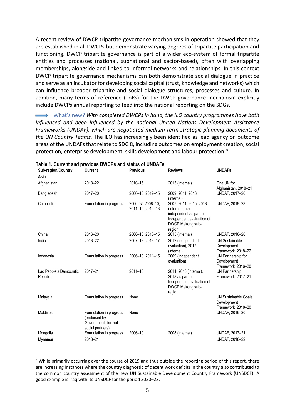A recent review of DWCP tripartite governance mechanisms in operation showed that they are established in all DWCPs but demonstrate varying degrees of tripartite participation and functioning. DWCP tripartite governance is part of a wider eco-system of formal tripartite entities and processes (national, subnational and sector-based), often with overlapping memberships, alongside and linked to informal networks and relationships. In this context DWCP tripartite governance mechanisms can both demonstrate social dialogue in practice and serve as an incubator for developing social capital (trust, knowledge and networks) which can influence broader tripartite and social dialogue structures, processes and culture. In addition, many terms of reference (ToRs) for the DWCP governance mechanism explicitly include DWCPs annual reporting to feed into the national reporting on the SDGs.

What's new? *With completed DWCPs in hand, the ILO country programmes have both influenced and been influenced by the national United Nations Development Assistance Frameworks (UNDAF), which are negotiated medium-term strategic planning documents of the UN Country Teams.* The ILO has increasingly been identified as lead agency on outcome areas of the UNDAFs that relate to SDG 8, including outcomes on employment creation, social protection, enterprise development, skills development and labour protection.<sup>8</sup>

| <b>Sub-region/Country</b>           | <b>Current</b>                                                                     | <b>Previous</b>                       | <b>Reviews</b>                                                                                                                  | <b>UNDAFs</b>                                                    |
|-------------------------------------|------------------------------------------------------------------------------------|---------------------------------------|---------------------------------------------------------------------------------------------------------------------------------|------------------------------------------------------------------|
| Asia                                |                                                                                    |                                       |                                                                                                                                 |                                                                  |
| Afghanistan                         | 2018-22                                                                            | 2010-15                               | 2015 (internal)                                                                                                                 | One UN for<br>Afghanistan, 2018-21                               |
| Bangladesh                          | 2017-20                                                                            | 2006-10; 2012-15                      | 2009, 2011, 2016<br>(internal)                                                                                                  | UNDAF, 2017-20                                                   |
| Cambodia                            | Formulation in progress                                                            | 2006-07; 2008-10;<br>2011-15; 2016-18 | 2007, 2011, 2015, 2018<br>(internal), also<br>independent as part of<br>Independent evaluation of<br>DWCP Mekong sub-<br>region | UNDAF, 2019-23                                                   |
| China                               | 2016-20                                                                            | 2006-10; 2013-15                      | 2015 (internal)                                                                                                                 | UNDAF, 2016-20                                                   |
| India                               | 2018-22                                                                            | 2007-12: 2013-17                      | 2012 (independent<br>evaluation), 2017<br>(internal)                                                                            | <b>UN Sustainable</b><br>Development<br>Framework, 2018-22       |
| Indonesia                           | Formulation in progress                                                            | 2006-10; 2011-15                      | 2009 (independent<br>evaluation)                                                                                                | UN Partnership for<br>Development<br>Framework, 2016-20          |
| Lao People's Democratic<br>Republic | 2017-21                                                                            | $2011 - 16$                           | 2011, 2016 (internal),<br>2018 as part of<br>Independent evaluation of<br>DWCP Mekong sub-<br>region                            | UN Partnership<br>Framework, 2017-21                             |
| Malaysia                            | Formulation in progress                                                            | None                                  |                                                                                                                                 | <b>UN Sustainable Goals</b><br>Development<br>Framework, 2018-20 |
| <b>Maldives</b>                     | Formulation in progress<br>(endorsed by<br>Government, but not<br>social partners) | None                                  |                                                                                                                                 | UNDAF, 2016-20                                                   |
| Mongolia<br>Myanmar                 | Formulation in progress<br>2018-21                                                 | 2006-10                               | 2008 (internal)                                                                                                                 | UNDAF, 2017-21<br>UNDAF, 2018-22                                 |

#### **Table 1. Current and previous DWCPs and status of UNDAFs**

1

<sup>&</sup>lt;sup>8</sup> While primarily occurring over the course of 2019 and thus outside the reporting period of this report, there are increasing instances where the country diagnostic of decent work deficits in the country also contributed to the common country assessment of the new UN Sustainable Development Country Framework (UNSDCF). A good example is Iraq with its UNSDCF for the period 2020–23.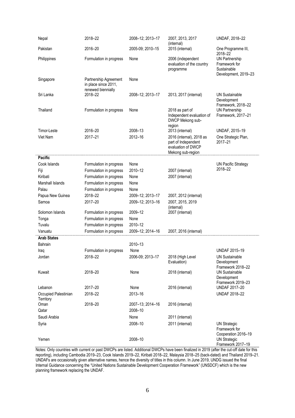| Nepal                             | 2018-22                                                             | 2008-12; 2013-17 | 2007, 2013, 2017<br>(internal)                                   | UNDAF, 2018-22                                                                |
|-----------------------------------|---------------------------------------------------------------------|------------------|------------------------------------------------------------------|-------------------------------------------------------------------------------|
| Pakistan                          | 2016-20                                                             | 2005-09; 2010-15 | 2015 (internal)                                                  | One Programme III,<br>2018-22                                                 |
| Philippines                       | Formulation in progress                                             | None             | 2006 (independent<br>evaluation of the country<br>programme      | <b>UN Partnership</b><br>Framework for<br>Sustainable<br>Development, 2019-23 |
| Singapore                         | Partnership Agreement<br>in place since 2011,<br>renewed biennially | None             |                                                                  |                                                                               |
| Sri Lanka                         | 2018-22                                                             | 2008-12; 2013-17 | 2013, 2017 (internal)                                            | <b>UN Sustainable</b><br>Development<br>Framework, 2018-22                    |
| Thailand                          | Formulation in progress                                             | None             | 2018 as part of<br>Independent evaluation of<br>DWCP Mekong sub- | <b>UN Partnership</b><br>Framework, 2017-21                                   |
| Timor-Leste                       | 2016-20                                                             | 2008-13          | region<br>2013 (internal)                                        | UNDAF, 2015-19                                                                |
| Viet Nam                          | 2017-21                                                             | 2012-16          | 2016 (internal), 2018 as                                         | One Strategic Plan,                                                           |
|                                   |                                                                     |                  | part of Independent<br>evaluation of DWCP<br>Mekong sub-region   | 2017-21                                                                       |
| <b>Pacific</b>                    |                                                                     |                  |                                                                  |                                                                               |
| Cook Islands                      | Formulation in progress                                             | None             |                                                                  | <b>UN Pacific Strategy</b>                                                    |
| Fiji                              | Formulation in progress                                             | 2010-12          | 2007 (internal)                                                  | 2018-22                                                                       |
| Kiribati                          | Formulation in progress                                             | None             | 2007 (internal)                                                  |                                                                               |
| Marshall Islands                  | Formulation in progress                                             | None             |                                                                  |                                                                               |
| Palau                             | Formulation in progress                                             | None             |                                                                  |                                                                               |
| Papua New Guinea                  | 2018-22                                                             | 2009-12; 2013-17 | 2007, 2012 (internal)                                            |                                                                               |
| Samoa                             | 2017-20                                                             | 2009-12; 2013-16 | 2007, 2015, 2019<br>(internal)                                   |                                                                               |
| Solomon Islands                   | Formulation in progress                                             | 2009-12          | 2007 (internal)                                                  |                                                                               |
| Tonga                             | Formulation in progress                                             | None             |                                                                  |                                                                               |
| Tuvalu                            | Formulation in progress                                             | 2010-12          |                                                                  |                                                                               |
| Vanuatu                           | Formulation in progress                                             | 2009-12; 2014-16 | 2007, 2016 (internal)                                            |                                                                               |
| <b>Arab States</b>                |                                                                     |                  |                                                                  |                                                                               |
| Bahrain                           |                                                                     | 2010-13          |                                                                  |                                                                               |
| Iraq                              | Formulation in progress                                             | None             |                                                                  | <b>UNDAF 2015-19</b>                                                          |
| Jordan                            | 2018-22                                                             | 2006-09; 2013-17 | 2018 (High Level<br>Evaluation)                                  | <b>UN Sustainable</b><br>Development<br>Framework 2018-22                     |
| Kuwait                            | 2018-20                                                             | None             | 2018 (internal)                                                  | <b>UN Sustainable</b><br>Development<br>Framework 2019-23                     |
| Lebanon                           | 2017-20                                                             | None             | 2016 (internal)                                                  | UNDAF 2017-20                                                                 |
| Occupied Palestinian<br>Territory | 2018-22                                                             | 2013-16          |                                                                  | <b>UNDAF 2018-22</b>                                                          |
| Oman                              | 2018-20                                                             | 2007-13; 2014-16 | 2016 (internal)                                                  |                                                                               |
| Qatar                             |                                                                     | 2008-10          |                                                                  |                                                                               |
| Saudi Arabia                      |                                                                     | None             | 2011 (internal)                                                  |                                                                               |
| Syria                             |                                                                     | 2008-10          | 2011 (internal)                                                  | <b>UN Strategic</b><br>Framework for                                          |
| Yemen                             |                                                                     | 2008-10          |                                                                  | Cooperation 2016-19<br><b>UN Strategic</b><br>Framework 2017-19               |

Notes: Only countries with current or past DWCPs are listed. Additional DWCPs have been finalized in 2019 (after the cut-off date for this reporting), including Cambodia 2019–23, Cook Islands 2019–22, Kiribati 2018–22, Malaysia 2018–25 (back-dated) and Thailand 2019–21. UNDAFs are occasionally given alternative names, hence the diversity of titles in this column. In June 2019, UNDG issued the final Internal Guidance concerning the "United Nations Sustainable Development Cooperation Framework" (UNSDCF) which is the new planning framework replacing the UNDAF.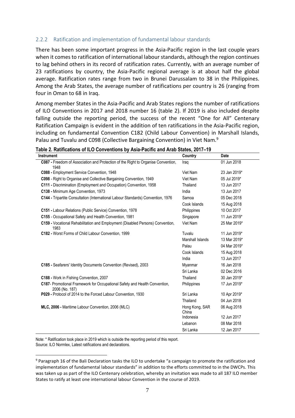#### <span id="page-8-0"></span>2.2.2 Ratification and implementation of fundamental labour standards

There has been some important progress in the Asia-Pacific region in the last couple years when it comes to ratification of international labour standards, although the region continues to lag behind others in its record of ratification rates. Currently, with an average number of 23 ratifications by country, the Asia-Pacific regional average is at about half the global average. Ratification rates range from two in Brunei Darussalam to 38 in the Philippines. Among the Arab States, the average number of ratifications per country is 26 (ranging from four in Oman to 68 in Iraq.

Among member States in the Asia-Pacific and Arab States regions the number of ratifications of ILO Conventions in 2017 and 2018 number 16 (table 2). If 2019 is also included despite falling outside the reporting period, the success of the recent "One for All" Centenary Ratification Campaign is evident in the addition of ten ratifications in the Asia-Pacific region, including on fundamental Convention C182 (Child Labour Convention) in Marshall Islands, Palau and Tuvalu and C098 (Collective Bargaining Convention) in Viet Nam.<sup>9</sup>

|  | Table 2. Ratifications of ILO Conventions by Asia-Pacific and Arab States, 2017–19 |  |
|--|------------------------------------------------------------------------------------|--|
|--|------------------------------------------------------------------------------------|--|

| Instrument                                                                                   | Country                 | Date         |
|----------------------------------------------------------------------------------------------|-------------------------|--------------|
| C087 - Freedom of Association and Protection of the Right to Organise Convention,<br>1948    | Iraq                    | 01 Jun 2018  |
| C088 - Employment Service Convention, 1948                                                   | Viet Nam                | 23 Jan 2019* |
| C098 - Right to Organise and Collective Bargaining Convention, 1949                          | Viet Nam                | 05 Jul 2019* |
| C111 - Discrimination (Employment and Occupation) Convention, 1958                           | Thailand                | 13 Jun 2017  |
| C138 - Minimum Age Convention, 1973                                                          | India                   | 13 Jun 2017  |
| C144 - Tripartite Consultation (International Labour Standards) Convention, 1976             | Samoa                   | 05 Dec 2018  |
|                                                                                              | Cook Islands            | 15 Aug 2018  |
| C151 - Labour Relations (Public Service) Convention, 1978                                    | Philippines             | 10 Oct 2017  |
| C155 - Occupational Safety and Health Convention, 1981                                       | Singapore               | 11 Jun 2019* |
| C159 - Vocational Rehabilitation and Employment (Disabled Persons) Convention,<br>1983       | Viet Nam                | 25 Mar 2019* |
| C182 - Worst Forms of Child Labour Convention, 1999                                          | Tuvalu                  | 11 Jun 2019* |
|                                                                                              | Marshall Islands        | 13 Mar 2019* |
|                                                                                              | Palau                   | 04 Mar 2019* |
|                                                                                              | Cook Islands            | 15 Aug 2018  |
|                                                                                              | India                   | 13 Jun 2017  |
| C185 - Seafarers' Identity Documents Convention (Revised), 2003                              | Myanmar                 | 16 Jan 2018  |
|                                                                                              | Sri Lanka               | 02 Dec 2016  |
| C188 - Work in Fishing Convention, 2007                                                      | Thailand                | 30 Jan 2019* |
| C187- Promotional Framework for Occupational Safety and Health Convention,<br>2006 (No. 187) | Philippines             | 17 Jun 2019* |
| P029 - Protocol of 2014 to the Forced Labour Convention, 1930                                | Sri Lanka               | 10 Apr 2019* |
|                                                                                              | Thailand                | 04 Jun 2018  |
| MLC, 2006 - Maritime Labour Convention, 2006 (MLC)                                           | Hong Kong, SAR<br>China | 06 Aug 2018  |
|                                                                                              | Indonesia               | 12 Jun 2017  |
|                                                                                              | Lebanon                 | 08 Mar 2018  |
|                                                                                              | Sri Lanka               | 12 Jan 2017  |

Note: \* Ratification took place in 2019 which is outside the reporting period of this report. Source: ILO Normlex, Latest ratifications and declarations.

1

<sup>9</sup> Paragraph 16 of the Bali Declaration tasks the ILO to undertake "a campaign to promote the ratification and implementation of fundamental labour standards" in addition to the efforts committed to in the DWCPs. This was taken up as part of the ILO Centenary celebration, whereby an invitation was made to all 187 ILO member States to ratify at least one international labour Convention in the course of 2019.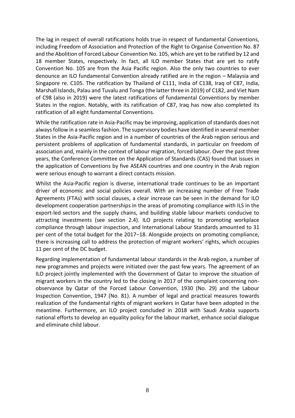The lag in respect of overall ratifications holds true in respect of fundamental Conventions, including Freedom of Association and Protection of the Right to Organise Convention No. 87 and the Abolition of Forced Labour Convention No. 105, which are yet to be ratified by 12 and 18 member States, respectively. In fact, all ILO member States that are yet to ratify Convention No. 105 are from the Asia Pacific region. Also the only two countries to ever denounce an ILO fundamental Convention already ratified are in the region – Malaysia and Singapore re. C105. The ratification by Thailand of C111, India of C138, Iraq of C87, India, Marshall Islands, Palau and Tuvalu and Tonga (the latter three in 2019) of C182, and Viet Nam of C98 (also in 2019) were the latest ratifications of fundamental Conventions by member States in the region. Notably, with its ratification of C87, Iraq has now also completed its ratification of all eight fundamental Conventions.

While the ratification rate in Asia-Pacific may be improving, application of standards does not always follow in a seamless fashion. The supervisory bodies have identified in several member States in the Asia-Pacific region and in a number of countries of the Arab region serious and persistent problems of application of fundamental standards, in particular on freedom of association and, mainly in the context of labour migration, forced labour. Over the past three years, the Conference Committee on the Application of Standards (CAS) found that issues in the application of Conventions by five ASEAN countries and one country in the Arab region were serious enough to warrant a direct contacts mission.

Whilst the Asia-Pacific region is diverse, international trade continues to be an important driver of economic and social policies overall. With an increasing number of Free Trade Agreements (FTAs) with social clauses, a clear increase can be seen in the demand for ILO development cooperation partnerships in the areas of promoting compliance with ILS in the export-led sectors and the supply chains, and building stable labour markets conducive to attracting investments (see section 2.4). ILO projects relating to promoting workplace compliance through labour inspection, and International Labour Standards amounted to 31 per cent of the total budget for the 2017–18. Alongside projects on promoting compliance, there is increasing call to address the protection of migrant workers' rights, which occupies 11 per cent of the DC budget.

Regarding implementation of fundamental labour standards in the Arab region, a number of new programmes and projects were initiated over the past few years. The agreement of an ILO project jointly implemented with the Government of Qatar to improve the situation of migrant workers in the country led to the closing in 2017 of the complaint concerning nonobservance by Qatar of the Forced Labour Convention, 1930 (No. 29) and the Labour Inspection Convention, 1947 (No. 81). A number of legal and practical measures towards realization of the fundamental rights of migrant workers in Qatar have been adopted in the meantime. Furthermore, an ILO project concluded in 2018 with Saudi Arabia supports national efforts to develop an equality policy for the labour market, enhance social dialogue and eliminate child labour.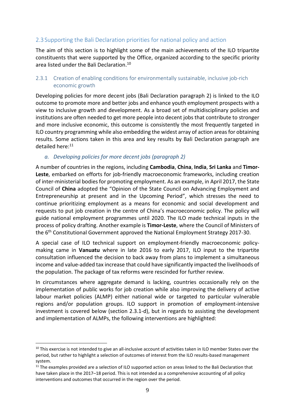# <span id="page-10-0"></span>2.3 Supporting the Bali Declaration priorities for national policy and action

The aim of this section is to highlight some of the main achievements of the ILO tripartite constituents that were supported by the Office, organized according to the specific priority area listed under the Bali Declaration.<sup>10</sup>

# <span id="page-10-1"></span>2.3.1 Creation of enabling conditions for environmentally sustainable, inclusive job-rich economic growth

Developing policies for more decent jobs (Bali Declaration paragraph 2) is linked to the ILO outcome to promote more and better jobs and enhance youth employment prospects with a view to inclusive growth and development. As a broad set of multidisciplinary policies and institutions are often needed to get more people into decent jobs that contribute to stronger and more inclusive economic, this outcome is consistently the most frequently targeted in ILO country programming while also embedding the widest array of action areasfor obtaining results. Some actions taken in this area and key results by Bali Declaration paragraph are detailed here: 11

### *a. Developing policies for more decent jobs (paragraph 2)*

A number of countries in the regions, including **Cambodia**, **China**, **India**, **Sri Lanka** and **Timor-Leste**, embarked on efforts for job-friendly macroeconomic frameworks, including creation of inter-ministerial bodies for promoting employment. As an example, in April 2017, the State Council of **China** adopted the "Opinion of the State Council on Advancing Employment and Entrepreneurship at present and in the Upcoming Period", which stresses the need to continue prioritizing employment as a means for economic and social development and requests to put job creation in the centre of China's macroeconomic policy. The policy will guide national employment programmes until 2020. The ILO made technical inputs in the process of policy drafting. Another example is **Timor-Leste**, where the Council of Ministers of the  $6<sup>th</sup>$  Constitutional Government approved the National Employment Strategy 2017-30.

A special case of ILO technical support on employment-friendly macroeconomic policymaking came in **Vanuatu** where in late 2016 to early 2017, ILO input to the tripartite consultation influenced the decision to back away from plans to implement a simultaneous income and value-added tax increase that could have significantly impacted the livelihoods of the population. The package of tax reforms were rescinded for further review.

In circumstances where aggregate demand is lacking, countries occasionally rely on the implementation of public works for job creation while also improving the delivery of active labour market policies (ALMP) either national wide or targeted to particular vulnerable regions and/or population groups. ILO support in promotion of employment-intensive investment is covered below (section 2.3.1-d), but in regards to assisting the development and implementation of ALMPs, the following interventions are highlighted:

1

 $10$  This exercise is not intended to give an all-inclusive account of activities taken in ILO member States over the period, but rather to highlight a selection of outcomes of interest from the ILO results-based management system.

<sup>&</sup>lt;sup>11</sup> The examples provided are a selection of ILO supported action on areas linked to the Bali Declaration that have taken place in the 2017–18 period. This is not intended as a comprehensive accounting of all policy interventions and outcomes that occurred in the region over the period.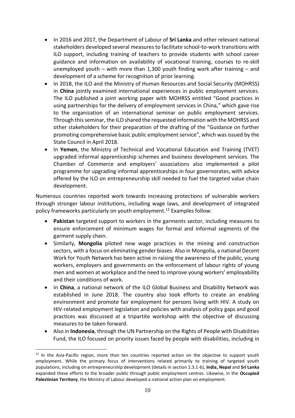- In 2016 and 2017, the Department of Labour of **Sri Lanka** and other relevant national stakeholders developed several measures to facilitate school-to-work transitions with ILO support, including training of teachers to provide students with school career guidance and information on availability of vocational training, courses to re-skill unemployed youth – with more than 1,300 youth finding work after training – and development of a scheme for recognition of prior learning.
- In 2018, the ILO and the Ministry of Human Resources and Social Security (MOHRSS) in **China** jointly examined international experiences in public employment services. The ILO published a joint working paper with MOHRSS entitled "Good practices in using partnerships for the delivery of employment services in China," which gave rise to the organization of an international seminar on public employment services. Through this seminar, the ILO shared the requested information with the MOHRSS and other stakeholders for their preparation of the drafting of the "Guidance on further promoting comprehensive basic public employment service", which was issued by the State Council in April 2018.
- In **Yemen**, the Ministry of Technical and Vocational Education and Training (TVET) upgraded informal apprenticeship schemes and business development services. The Chamber of Commerce and employers' associations also implemented a pilot programme for upgrading informal apprenticeships in four governorates, with advice offered by the ILO on entrepreneurship skill needed to fuel the targeted value chain development.

Numerous countries reported work towards increasing protections of vulnerable workers through stronger labour institutions, including wage laws, and development of integrated policy frameworks particularly on youth employment. <sup>12</sup> Examples follow:

- **Pakistan** targeted support to workers in the garments sector, including measures to ensure enforcement of minimum wages for formal and informal segments of the garment supply chain.
- Similarly, **Mongolia** piloted new wage practices in the mining and construction sectors, with a focus on eliminating gender biases. Also in Mongolia, a national Decent Work for Youth Network has been active in raising the awareness of the public, young workers, employers and governments on the enforcement of labour rights of young men and women at workplace and the need to improve young workers' employability and their conditions of work.
- In China, a national network of the ILO Global Business and Disability Network was established in June 2018. The country also took efforts to create an enabling environment and promote fair employment for persons living with HIV. A study on HIV-related employment legislation and policies with analysis of policy gaps and good practices was discussed at a tripartite workshop with the objective of discussing measures to be taken forward.
- Also in **Indonesia**, through the UN Partnership on the Rights of People with Disabilities Fund, the ILO focused on priority issues faced by people with disabilities, including in

<u>.</u>

 $12$  In the Asia-Pacific region, more than ten countries reported action on the objective to support youth employment. While the primary focus of interventions related primarily to training of targeted youth populations, including on entrepreneurship development (details in section 2.3.1-b), **India, Nepal** and **Sri Lanka** expanded these efforts to the broader public through public employment centres. Likewise, in the **Occupied Palestinian Territory**, the Ministry of Labour developed a national action plan on employment.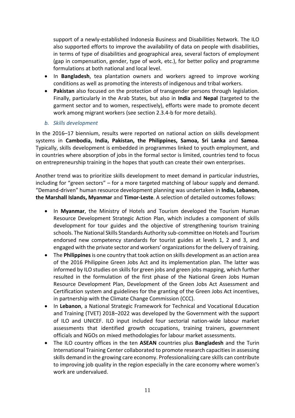support of a newly-established Indonesia Business and Disabilities Network. The ILO also supported efforts to improve the availability of data on people with disabilities, in terms of type of disabilities and geographical area, several factors of employment (gap in compensation, gender, type of work, etc.), for better policy and programme formulations at both national and local level.

- In **Bangladesh**, tea plantation owners and workers agreed to improve working conditions as well as promoting the interests of indigenous and tribal workers.
- **Pakistan** also focused on the protection of transgender persons through legislation. Finally, particularly in the Arab States, but also in **India** and **Nepal** (targeted to the garment sector and to women, respectively), efforts were made to promote decent work among migrant workers (see section 2.3.4-b for more details).
- *b. Skills development*

In the 2016–17 biennium, results were reported on national action on skills development systems in **Cambodia, India, Pakistan, the Philippines, Samoa, Sri Lanka** and **Samoa**. Typically, skills development is embedded in programmes linked to youth employment, and in countries where absorption of jobs in the formal sector is limited, countries tend to focus on entrepreneurship training in the hopes that youth can create their own enterprises.

Another trend was to prioritize skills development to meet demand in particular industries, including for "green sectors" – for a more targeted matching of labour supply and demand. "Demand-driven" human resource development planning was undertaken in **India, Lebanon, the Marshall Islands, Myanmar** and **Timor-Leste**. A selection of detailed outcomes follows:

- In **Myanmar**, the Ministry of Hotels and Tourism developed the Tourism Human Resource Development Strategic Action Plan, which includes a component of skills development for tour guides and the objective of strengthening tourism training schools. The National Skills Standards Authority sub-committee on Hotels and Tourism endorsed new competency standards for tourist guides at levels 1, 2 and 3, and engaged with the private sector and workers' organizations for the delivery of training.
- The **Philippines**is one country that took action on skills development as an action area of the 2016 Philippine Green Jobs Act and its implementation plan. The latter was informed by ILO studies on skills for green jobs and green jobs mapping, which further resulted in the formulation of the first phase of the National Green Jobs Human Resource Development Plan, Development of the Green Jobs Act Assessment and Certification system and guidelines for the granting of the Green Jobs Act incentives, in partnership with the Climate Change Commission (CCC).
- In **Lebanon**, a National Strategic Framework for Technical and Vocational Education and Training (TVET) 2018–2022 was developed by the Government with the support of ILO and UNICEF. ILO input included four sectorial nation-wide labour market assessments that identified growth occupations, training trainers, government officials and NGOs on mixed methodologies for labour market assessments.
- The ILO country offices in the ten **ASEAN** countries plus **Bangladesh** and the Turin International Training Center collaborated to promote research capacities in assessing skills demand in the growing care economy. Professionalizing care skills can contribute to improving job quality in the region especially in the care economy where women's work are undervalued.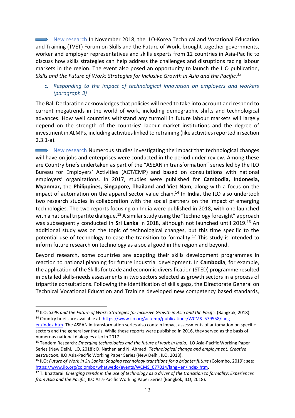New research In November 2018, the ILO-Korea Technical and Vocational Education and Training (TVET) Forum on Skills and the Future of Work, brought together governments, worker and employer representatives and skills experts from 12 countries in Asia-Pacific to discuss how skills strategies can help address the challenges and disruptions facing labour markets in the region. The event also posed an opportunity to launch the ILO publication, *Skills and the Future of Work: Strategies for Inclusive Growth in Asia and the Pacific.<sup>13</sup>*

*c. Responding to the impact of technological innovation on employers and workers (paragraph 3)*

The Bali Declaration acknowledges that policies will need to take into account and respond to current megatrends in the world of work, including demographic shifts and technological advances. How well countries withstand any turmoil in future labour markets will largely depend on the strength of the countries' labour market institutions and the degree of investment in ALMPs, including activities linked to retraining (like activities reported in section 2.3.1-a).

New research Numerous studies investigating the impact that technological changes will have on jobs and enterprises were conducted in the period under review. Among these are Country briefs undertaken as part of the "ASEAN in transformation" series led by the ILO Bureau for Employers' Activities (ACT/EMP) and based on consultations with national employers' organizations. In 2017, studies were published for **Cambodia, Indonesia, Myanmar,** the **Philippines, Singapore, Thailand** and **Viet Nam**, along with a focus on the impact of automation on the apparel sector value chain.<sup>14</sup> In **India**, the ILO also undertook two research studies in collaboration with the social partners on the impact of emerging technologies. The two reports focusing on India were published in 2018, with one launched with a national tripartite dialogue.<sup>15</sup> A similar study using the "technology foresight" approach was subsequently conducted in **Sri Lanka** in 2018, although not launched until 2019.<sup>16</sup> An additional study was on the topic of technological changes, but this time specific to the potential use of technology to ease the transition to formality.<sup>17</sup> This study is intended to inform future research on technology as a social good in the region and beyond.

Beyond research, some countries are adapting their skills development programmes in reaction to national planning for future industrial development. In **Cambodia**, for example, the application of the Skills for trade and economic diversification (STED) programme resulted in detailed skills-needs assessments in two sectors selected as growth sectors in a process of tripartite consultations. Following the identification of skills gaps, the Directorate General on Technical Vocational Education and Training developed new competency based standards,

<u>.</u>

<sup>&</sup>lt;sup>13</sup> ILO: *Skills and the Future of Work: Strategies for Inclusive Growth in Asia and the Pacific (Bangkok, 2018).* <sup>14</sup> Country briefs are available at[: https://www.ilo.org/actemp/publications/WCMS\\_579558/lang--](https://www.ilo.org/actemp/publications/WCMS_579558/lang--en/index.htm)

[en/index.htm.](https://www.ilo.org/actemp/publications/WCMS_579558/lang--en/index.htm) The ASEAN in transformation series also contain impact assessments of automation on specific sectors and the general synthesis. While these reports were published in 2016, they served as the basis of numerous national dialogues also in 2017.

<sup>15</sup> Tandem Research: *Emerging technologies and the future of work in India*, ILO Asia-Pacific Working Paper Series (New Delhi, ILO, 2018); D. Nathan and N. Ahmed: *Technological change and employment: Creative destruction,* ILO Asia-Pacific Working Paper Series (New Delhi, ILO, 2018).

<sup>&</sup>lt;sup>16</sup> ILO: *Future of Work in Sri Lanka: Shaping technology transitions for a brighter future (Colombo, 2019); see:* [https://www.ilo.org/colombo/whatwedo/events/WCMS\\_677014/lang--en/index.htm.](https://www.ilo.org/colombo/whatwedo/events/WCMS_677014/lang--en/index.htm)

<sup>17</sup> T. Bhattarai: *Emerging trends in the use of technology as a driver of the transition to formality: Experiences from Asia and the Pacific,* ILO Asia-Pacific Working Paper Series (Bangkok, ILO, 2018).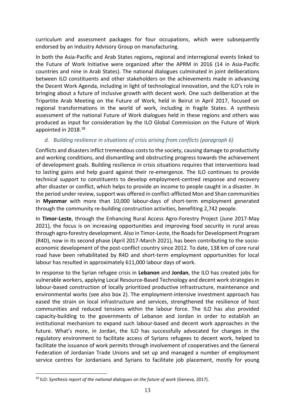curriculum and assessment packages for four occupations, which were subsequently endorsed by an Industry Advisory Group on manufacturing.

In both the Asia-Pacific and Arab States regions**,** regional and interregional events linked to the Future of Work Initiative were organized after the APRM in 2016 (14 in Asia-Pacific countries and nine in Arab States). The national dialogues culminated in joint deliberations between ILO constituents and other stakeholders on the achievements made in advancing the Decent Work Agenda, including in light of technological innovation, and the ILO's role in bringing about a future of inclusive growth with decent work. One such deliberation at the Tripartite Arab Meeting on the Future of Work, held in Beirut in April 2017, focused on regional transformations in the world of work, including in fragile States. A synthesis assessment of the national Future of Work dialogues held in these regions and others was produced as input for consideration by the ILO Global Commission on the Future of Work appointed in 2018.<sup>18</sup>

# *d. Building resilience in situations of crisis arising from conflicts (paragraph 6)*

Conflicts and disasters inflict tremendous costs to the society, causing damage to productivity and working conditions, and dismantling and obstructing progress towards the achievement of development goals. Building resilience in crisis situations requires that interventions lead to lasting gains and help guard against their re-emergence. The ILO continues to provide technical support to constituents to develop employment-centred response and recovery after disaster or conflict, which helps to provide an income to people caught in a disaster. In the period under review, support was offered in conflict-afflicted Mon and Shan communities in **Myanmar** with more than 10,000 labour-days of short-term employment generated through the community re-building construction activities, benefiting 2,742 people.

In **Timor-Leste**, through the Enhancing Rural Access Agro-Forestry Project (June 2017-May 2021), the focus is on increasing opportunities and improving food security in rural areas through agro-forestry development. Also in Timor-Leste, the Roads for Development Program (R4D), now in its second phase (April 2017-March 2021), has been contributing to the socioeconomic development of the post-conflict country since 2012. To date, 138 km of core rural road have been rehabilitated by R4D and short-term employment opportunities for local labour has resulted in approximately 611,000 labour days of work.

In response to the Syrian refugee crisis in **Lebanon** and **Jordan**, the ILO has created jobs for vulnerable workers, applying Local Resource-Based Technology and decent work strategies in labour-based construction of locally prioritized productive infrastructure, maintenance and environmental works (see also box 2). The employment-intensive investment approach has eased the strain on local infrastructure and services, strengthened the resilience of host communities and reduced tensions within the labour force. The ILO has also provided capacity-building to the governments of Lebanon and Jordan in order to establish an institutional mechanism to expand such labour-based and decent work approaches in the future. What's more, in Jordan, the ILO has successfully advocated for changes in the regulatory environment to facilitate access of Syrians refugees to decent work, helped to facilitate the issuance of work permits through involvement of cooperatives and the General Federation of Jordanian Trade Unions and set up and managed a number of employment service centres for Jordanians and Syrians to facilitate job placement, mostly for young

1

<sup>18</sup> ILO: *Synthesis report of the national dialogues on the future of work* (Geneva, 2017).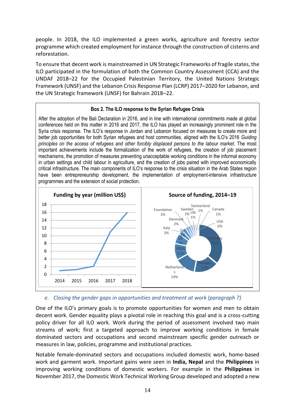people. In 2018, the ILO implemented a green works, agriculture and forestry sector programme which created employment for instance through the construction of cisterns and reforestation.

To ensure that decent work is mainstreamed in UN Strategic Frameworks of fragile states, the ILO participated in the formulation of both the Common Country Assessment (CCA) and the UNDAF 2018–22 for the Occupied Palestinian Territory, the United Nations Strategic Framework (UNSF) and the Lebanon Crisis Response Plan (LCRP) 2017–2020 for Lebanon, and the UN Strategic framework (UNSF) for Bahrain 2018–22.

### **Box 2. The ILO response to the Syrian Refugee Crisis**

After the adoption of the Bali Declaration in 2016, and in line with international commitments made at global conferences held on this matter in 2016 and 2017, the ILO has played an increasingly prominent role in the Syria crisis response. The ILO's response in Jordan and Lebanon focused on measures to create more and better job opportunities for both Syrian refugees and host communities, aligned with the ILO's 2016 *Guiding principles on the access of refugees and other forcibly displaced persons to the labour market*. The most important achievements include the formalization of the work of refugees, the creation of job placement mechanisms, the promotion of measures preventing unacceptable working conditions in the informal economy in urban settings and child labour in agriculture, and the creation of jobs paired with improved economically critical infrastructure. The main components of ILO's response to the crisis situation in the Arab States region have been entrepreneurship development, the implementation of employment-intensive infrastructure programmes and the extension of social protection.



# *e. Closing the gender gaps in opportunities and treatment at work (paragraph 7)*

One of the ILO's primary goals is to promote opportunities for women and men to obtain decent work. Gender equality plays a pivotal role in reaching this goal and is a cross-cutting policy driver for all ILO work. Work during the period of assessment involved two main streams of work; first a targeted approach to improve working conditions in female dominated sectors and occupations and second mainstream specific gender outreach or measures in law, policies, programme and institutional practices.

Notable female-dominated sectors and occupations included domestic work, home-based work and garment work. Important gains were seen in **India, Nepal** and the **Philippines** in improving working conditions of domestic workers. For example in the **Philippines** in November 2017, the Domestic Work Technical Working Group developed and adopted a new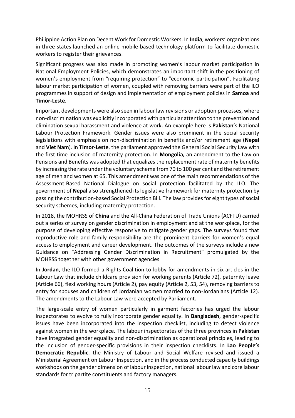Philippine Action Plan on Decent Work for Domestic Workers. In **India**, workers' organizations in three states launched an online mobile-based technology platform to facilitate domestic workers to register their grievances.

Significant progress was also made in promoting women's labour market participation in National Employment Policies, which demonstrates an important shift in the positioning of women's employment from "requiring protection" to "economic participation". Facilitating labour market participation of women, coupled with removing barriers were part of the ILO programmes in support of design and implementation of employment policies in **Samoa** and **Timor-Leste**.

Important developments were also seen in labour law revisions or adoption processes, where non-discrimination was explicitly incorporated with particular attention to the prevention and elimination sexual harassment and violence at work. An example here is **Pakistan**'s National Labour Protection Framework. Gender issues were also prominent in the social security legislations with emphasis on non-discrimination in benefits and/or retirement age (**Nepal**  and **Viet Nam**). In **Timor-Leste**, the parliament approved the General Social Security Law with the first time inclusion of maternity protection. In **Mongolia,** an amendment to the Law on Pensions and Benefits was adopted that equalizes the replacement rate of maternity benefits by increasing the rate under the voluntary scheme from 70 to 100 per cent and the retirement age of men and women at 65. This amendment was one of the main recommendations of the Assessment-Based National Dialogue on social protection facilitated by the ILO. The government of **Nepal** also strengthened its legislative framework for maternity protection by passing the contribution-based Social Protection Bill. The law provides for eight types of social security schemes, including maternity protection.

In 2018, the MOHRSS of **China** and the All-China Federation of Trade Unions (ACFTU) carried out a series of survey on gender discrimination in employment and at the workplace, for the purpose of developing effective responsive to mitigate gender gaps. The surveys found that reproductive role and family responsibility are the prominent barriers for women's equal access to employment and career development. The outcomes of the surveys include a new Guidance on "Addressing Gender Discrimination in Recruitment" promulgated by the MOHRSS together with other government agencies

In **Jordan**, the ILO formed a Rights Coalition to lobby for amendments in six articles in the Labour Law that include childcare provision for working parents (Article 72), paternity leave (Article 66), flexi working hours (Article 2), pay equity (Article 2, 53, 54), removing barriers to entry for spouses and children of Jordanian women married to non-Jordanians (Article 12). The amendments to the Labour Law were accepted by Parliament.

The large-scale entry of women particularly in garment factories has urged the labour inspectorates to evolve to fully incorporate gender equality. In **Bangladesh**, gender-specific issues have been incorporated into the inspection checklist, including to detect violence against women in the workplace. The labour inspectorates of the three provinces in **Pakistan** have integrated gender equality and non-discrimination as operational principles, leading to the inclusion of gender-specific provisions in their inspection checklists. In **Lao People's Democratic Republic**, the Ministry of Labour and Social Welfare revised and issued a Ministerial Agreement on Labour Inspection, and in the process conducted capacity buildings workshops on the gender dimension of labour inspection, national labour law and core labour standards for tripartite constituents and factory managers.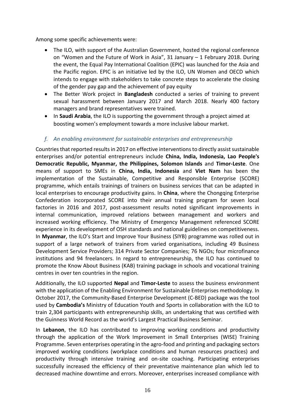Among some specific achievements were:

- The ILO, with support of the Australian Government, hosted the regional conference on "Women and the Future of Work in Asia", 31 January – 1 February 2018. During the event, the Equal Pay International Coalition (EPIC) was launched for the Asia and the Pacific region. EPIC is an initiative led by the ILO, UN Women and OECD which intends to engage with stakeholders to take concrete steps to accelerate the closing of the gender pay gap and the achievement of pay equity
- The Better Work project in **Bangladesh** conducted a series of training to prevent sexual harassment between January 2017 and March 2018. Nearly 400 factory managers and brand representatives were trained.
- In **Saudi Arabia**, the ILO is supporting the government through a project aimed at boosting women's employment towards a more inclusive labour market.

# *f. An enabling environment for sustainable enterprises and entrepreneurship*

Countries that reported results in 2017 on effective interventions to directly assist sustainable enterprises and/or potential entrepreneurs include **China, India, Indonesia, Lao People's Democratic Republic, Myanmar, the Philippines, Solomon Islands** and **Timor-Leste**. One means of support to SMEs in **China, India, Indonesia** and **Viet Nam** has been the implementation of the Sustainable, Competitive and Responsible Enterprise (SCORE) programme, which entails trainings of trainers on business services that can be adapted in local enterprises to encourage productivity gains. In **China**, where the Chongqing Enterprise Confederation incorporated SCORE into their annual training program for seven local factories in 2016 and 2017, post-assessment results noted significant improvements in internal communication, improved relations between management and workers and increased working efficiency. The Ministry of Emergency Management referenced SCORE experience in its development of OSH standards and national guidelines on competitiveness. In **Myanmar**, the ILO's Start and Improve Your Business (SIYB) programme was rolled out in support of a large network of trainers from varied organisations, including 49 Business Development Service Providers; 314 Private Sector Companies; 76 NGOs; four microfinance institutions and 94 freelancers. In regard to entrepreneurship, the ILO has continued to promote the Know About Business (KAB) training package in schools and vocational training centres in over ten countries in the region.

Additionally, the ILO supported **Nepal** and **Timor-Leste** to assess the business environment with the application of the Enabling Environment for Sustainable Enterprises methodology. In October 2017, the Community-Based Enterprise Development (C-BED) package was the tool used by **Cambodia's** Ministry of Education Youth and Sports in collaboration with the ILO to train 2,304 participants with entrepreneurship skills, an undertaking that was certified with the Guinness World Record as the world's Largest Practical Business Seminar.

In **Lebanon**, the ILO has contributed to improving working conditions and productivity through the application of the Work Improvement in Small Enterprises (WISE) Training Programme. Seven enterprises operating in the agro-food and printing and packaging sectors improved working conditions (workplace conditions and human resources practices) and productivity through intensive training and on-site coaching. Participating enterprises successfully increased the efficiency of their preventative maintenance plan which led to decreased machine downtime and errors. Moreover, enterprises increased compliance with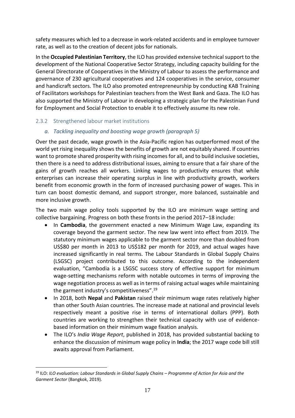safety measures which led to a decrease in work-related accidents and in employee turnover rate, as well as to the creation of decent jobs for nationals.

In the **Occupied Palestinian Territory**, the ILO has provided extensive technical support to the development of the National Cooperative Sector Strategy, including capacity building for the General Directorate of Cooperatives in the Ministry of Labour to assess the performance and governance of 230 agricultural cooperatives and 124 cooperatives in the service, consumer and handicraft sectors. The ILO also promoted entrepreneurship by conducting KAB Training of Facilitators workshops for Palestinian teachers from the West Bank and Gaza. The ILO has also supported the Ministry of Labour in developing a strategic plan for the Palestinian Fund for Employment and Social Protection to enable it to effectively assume its new role.

# <span id="page-18-0"></span>2.3.2 Strengthened labour market institutions

1

# *a. Tackling inequality and boosting wage growth (paragraph 5)*

Over the past decade, wage growth in the Asia-Pacific region has outperformed most of the world yet rising inequality shows the benefits of growth are not equitably shared. If countries want to promote shared prosperity with rising incomes for all, and to build inclusive societies, then there is a need to address distributional issues, aiming to ensure that a fair share of the gains of growth reaches all workers. Linking wages to productivity ensures that while enterprises can increase their operating surplus in line with productivity growth, workers benefit from economic growth in the form of increased purchasing power of wages. This in turn can boost domestic demand, and support stronger, more balanced, sustainable and more inclusive growth.

The two main wage policy tools supported by the ILO are minimum wage setting and collective bargaining. Progress on both these fronts in the period 2017–18 include:

- In **Cambodia**, the government enacted a new Minimum Wage Law, expanding its coverage beyond the garment sector. The new law went into effect from 2019. The statutory minimum wages applicable to the garment sector more than doubled from US\$80 per month in 2013 to US\$182 per month for 2019, and actual wages have increased significantly in real terms. The Labour Standards in Global Supply Chains (LSGSC) project contributed to this outcome. According to the independent evaluation, "Cambodia is a LSGSC success story of effective support for minimum wage-setting mechanisms reform with notable outcomes in terms of improving the wage negotiation process as well as in terms of raising actual wages while maintaining the garment industry's competitiveness". 19
- In 2018, both **Nepal** and **Pakistan** raised their minimum wage rates relatively higher than other South Asian countries. The increase made at national and provincial levels respectively meant a positive rise in terms of international dollars (PPP). Both countries are working to strengthen their technical capacity with use of evidencebased information on their minimum wage fixation analysis.
- The ILO's *India Wage Report*, published in 2018, has provided substantial backing to enhance the discussion of minimum wage policy in **India**; the 2017 wage code bill still awaits approval from Parliament.

<sup>&</sup>lt;sup>19</sup> ILO: ILO evaluation: Labour Standards in Global Supply Chains – Programme of Action for Asia and the *Garment Sector* (Bangkok, 2019).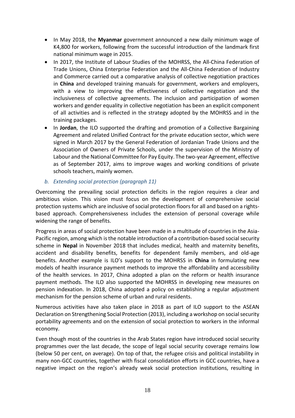- In May 2018, the **Myanmar** government announced a new daily minimum wage of K4,800 for workers, following from the successful introduction of the landmark first national minimum wage in 2015.
- In 2017, the Institute of Labour Studies of the MOHRSS, the All-China Federation of Trade Unions, China Enterprise Federation and the All-China Federation of Industry and Commerce carried out a comparative analysis of collective negotiation practices in **China** and developed training manuals for government, workers and employers, with a view to improving the effectiveness of collective negotiation and the inclusiveness of collective agreements. The inclusion and participation of women workers and gender equality in collective negotiation has been an explicit component of all activities and is reflected in the strategy adopted by the MOHRSS and in the training packages.
- In **Jordan**, the ILO supported the drafting and promotion of a Collective Bargaining Agreement and related Unified Contract for the private education sector, which were signed in March 2017 by the General Federation of Jordanian Trade Unions and the Association of Owners of Private Schools, under the supervision of the Ministry of Labour and the National Committee for Pay Equity. The two-year Agreement, effective as of September 2017, aims to improve wages and working conditions of private schools teachers, mainly women.
- *b. Extending social protection (paragraph 11)*

Overcoming the prevailing social protection deficits in the region requires a clear and ambitious vision. This vision must focus on the development of comprehensive social protection systems which are inclusive of social protection floors for all and based on a rightsbased approach. Comprehensiveness includes the extension of personal coverage while widening the range of benefits.

Progress in areas of social protection have been made in a multitude of countries in the Asia-Pacific region, among which is the notable introduction of a contribution-based social security scheme in **Nepal** in November 2018 that includes medical, health and maternity benefits, accident and disability benefits, benefits for dependent family members, and old-age benefits. Another example is ILO's support to the MOHRSS in **China** in formulating new models of health insurance payment methods to improve the affordability and accessibility of the health services. In 2017, China adopted a plan on the reform or health insurance payment methods. The ILO also supported the MOHRSS in developing new measures on pension indexation. In 2018, China adopted a policy on establishing a regular adjustment mechanism for the pension scheme of urban and rural residents.

Numerous activities have also taken place in 2018 as part of ILO support to the ASEAN Declaration on Strengthening Social Protection (2013), including a workshop on social security portability agreements and on the extension of social protection to workers in the informal economy.

Even though most of the countries in the Arab States region have introduced social security programmes over the last decade, the scope of legal social security coverage remains low (below 50 per cent, on average). On top of that, the refugee crisis and political instability in many non-GCC countries, together with fiscal consolidation efforts in GCC countries, have a negative impact on the region's already weak social protection institutions, resulting in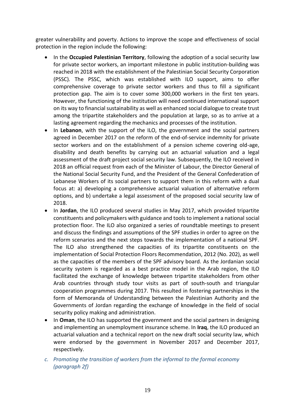greater vulnerability and poverty. Actions to improve the scope and effectiveness of social protection in the region include the following:

- In the **Occupied Palestinian Territory**, following the adoption of a social security law for private sector workers, an important milestone in public institution-building was reached in 2018 with the establishment of the Palestinian Social Security Corporation (PSSC). The PSSC, which was established with ILO support, aims to offer comprehensive coverage to private sector workers and thus to fill a significant protection gap. The aim is to cover some 300,000 workers in the first ten years. However, the functioning of the institution will need continued international support on its way to financial sustainability as well as enhanced social dialogue to create trust among the tripartite stakeholders and the population at large, so as to arrive at a lasting agreement regarding the mechanics and processes of the institution.
- In Lebanon, with the support of the ILO, the government and the social partners agreed in December 2017 on the reform of the end-of-service indemnity for private sector workers and on the establishment of a pension scheme covering old-age, disability and death benefits by carrying out an actuarial valuation and a legal assessment of the draft project social security law. Subsequently, the ILO received in 2018 an official request from each of the Minister of Labour, the Director General of the National Social Security Fund, and the President of the General Confederation of Lebanese Workers of its social partners to support them in this reform with a dual focus at: a) developing a comprehensive actuarial valuation of alternative reform options, and b) undertake a legal assessment of the proposed social security law of 2018.
- In **Jordan**, the ILO produced several studies in May 2017, which provided tripartite constituents and policymakers with guidance and tools to implement a national social protection floor. The ILO also organized a series of roundtable meetings to present and discuss the findings and assumptions of the SPF studies in order to agree on the reform scenarios and the next steps towards the implementation of a national SPF. The ILO also strengthened the capacities of its tripartite constituents on the implementation of Social Protection Floors Recommendation, 2012 (No. 202), as well as the capacities of the members of the SPF advisory board. As the Jordanian social security system is regarded as a best practice model in the Arab region, the ILO facilitated the exchange of knowledge between tripartite stakeholders from other Arab countries through study tour visits as part of south-south and triangular cooperation programmes during 2017. This resulted in fostering partnerships in the form of Memoranda of Understanding between the Palestinian Authority and the Governments of Jordan regarding the exchange of knowledge in the field of social security policy making and administration.
- In **Oman**, the ILO has supported the government and the social partners in designing and implementing an unemployment insurance scheme. In **Iraq**, the ILO produced an actuarial valuation and a technical report on the new draft social security law, which were endorsed by the government in November 2017 and December 2017, respectively.
- *c. Promoting the transition of workers from the informal to the formal economy (paragraph 2f)*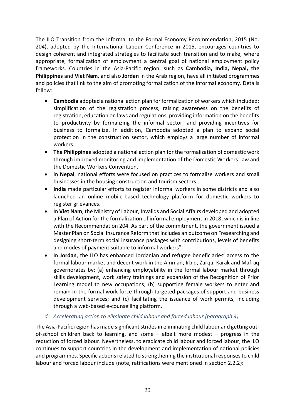The ILO Transition from the Informal to the Formal Economy Recommendation, 2015 (No. 204), adopted by the International Labour Conference in 2015, encourages countries to design coherent and integrated strategies to facilitate such transition and to make, where appropriate, formalization of employment a central goal of national employment policy frameworks. Countries in the Asia-Pacific region, such as **Cambodia, India, Nepal, the Philippines** and **Viet Nam**, and also **Jordan** in the Arab region, have all initiated programmes and policies that link to the aim of promoting formalization of the informal economy. Details follow:

- **Cambodia** adopted a national action plan for formalization of workers which included: simplification of the registration process, raising awareness on the benefits of registration, education on laws and regulations, providing information on the benefits to productivity by formalizing the informal sector, and providing incentives for business to formalize. In addition, Cambodia adopted a plan to expand social protection in the construction sector, which employs a large number of informal workers.
- **The Philippines** adopted a national action plan for the formalization of domestic work through improved monitoring and implementation of the Domestic Workers Law and the Domestic Workers Convention.
- In **Nepal**, national efforts were focused on practices to formalize workers and small businesses in the housing construction and tourism sectors.
- **India** made particular efforts to register informal workers in some districts and also launched an online mobile-based technology platform for domestic workers to register grievances.
- In **Viet Nam**, the Ministry of Labour, Invalids and Social Affairs developed and adopted a Plan of Action for the formalization of informal employment in 2018, which is in line with the Recommendation 204. As part of the commitment, the government issued a Master Plan on Social Insurance Reform that includes an outcome on "researching and designing short-term social insurance packages with contributions, levels of benefits and modes of payment suitable to informal workers".
- In **Jordan**, the ILO has enhanced Jordanian and refugee beneficiaries' access to the formal labour market and decent work in the Amman, Irbid, Zarqa, Karak and Mafraq governorates by: (a) enhancing employability in the formal labour market through skills development, work safety trainings and expansion of the Recognition of Prior Learning model to new occupations; (b) supporting female workers to enter and remain in the formal work force through targeted packages of support and business development services; and (c) facilitating the issuance of work permits, including through a web-based e-counselling platform.

# *d. Accelerating action to eliminate child labour and forced labour (paragraph 4)*

The Asia-Pacific region has made significant strides in eliminating child labour and getting outof-school children back to learning, and some – albeit more modest – progress in the reduction of forced labour. Nevertheless, to eradicate child labour and forced labour, the ILO continues to support countries in the development and implementation of national policies and programmes. Specific actions related to strengthening the institutional responses to child labour and forced labour include (note, ratifications were mentioned in section 2.2.2):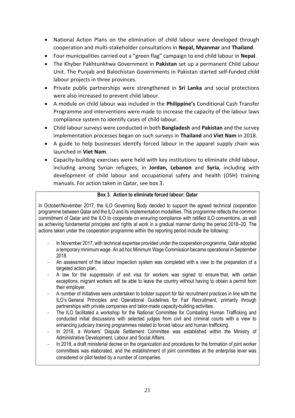- National Action Plans on the elimination of child labour were developed through cooperation and multi-stakeholder consultations in **Nepal, Myanmar** and **Thailand**.
- Four municipalities carried out a "green flag" campaign to end child labour in **Nepal**.
- The Khyber Pakhtunkhwa Government in **Pakistan** set up a permanent Child Labour Unit. The Punjab and Balochistan Governments in Pakistan started self-funded child labour projects in three provinces.
- Private public partnerships were strengthened in **Sri Lanka** and social protections were also increased to prevent child labour.
- A module on child labour was included in the **Philippine's** Conditional Cash Transfer Programme and interventions were made to increase the capacity of the labour laws compliance system to identify cases of child labour.
- Child labour surveys were conducted in both **Bangladesh** and **Pakistan** and the survey implementation processes began on such surveys in **Thailand** and **Viet Nam** in 2018.
- A guide to help businesses identify forced labour in the apparel supply chain was launched in **Viet Nam**.
- Capacity-building exercises were held with key institutions to eliminate child labour, including among Syrian refugees, in **Jordan, Lebanon** and **Syria**, including with development of child labour and occupational safety and health (OSH) training manuals. For action taken in Qatar, see box 3.

### **Box 3. Action to eliminate forced labour: Qatar**

In October/November 2017, the ILO Governing Body decided to support the agreed technical cooperation programme between Qatar and the ILO and its implementation modalities. This programme reflects the common commitment of Qatar and the ILO to cooperate on ensuring compliance with ratified ILO conventions, as well as achieving fundamental principles and rights at work in a gradual manner during the period 2018–20. The actions taken under the cooperation programme within the reporting period include the following:

- In November 2017, with technical expertise provided under the cooperation programme, Qatar adopted a temporary minimum wage. An ad hoc Minimum Wage Commission became operational in September 2018.
- An assessment of the labour inspection system was completed with a view to the preparation of a targeted action plan.
- A law for the suppression of exit visa for workers was signed to ensure that, with certain exceptions, migrant workers will be able to leave the country without having to obtain a permit from their employer.
- A number of initiatives were undertaken to bolster support for fair recruitment practices in line with the ILO's General Principles and Operational Guidelines for Fair Recruitment, primarily through partnerships with private companies and tailor-made capacity-building activities.
- The ILO facilitated a workshop for the National Committee for Combating Human Trafficking and conducted initial discussions with selected judges from civil and criminal courts with a view to enhancing judiciary training programmes related to forced labour and human trafficking.
- In 2018, a Workers' Dispute Settlement Committee was established within the Ministry of Administrative Development, Labour and Social Affairs.
- <span id="page-22-0"></span>In 2018, a draft ministerial decree on the organization and procedures for the formation of joint worker committees was elaborated, and the establishment of joint committees at the enterprise level was considered or pilot tested by a number of companies.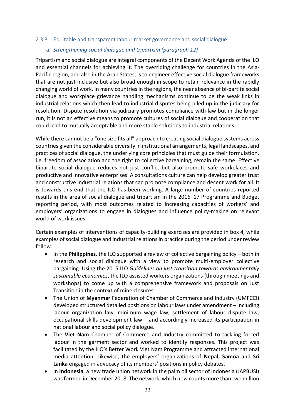#### 2.3.3 Equitable and transparent labour market governance and social dialogue

# *a. Strengthening social dialogue and tripartism (paragraph 12)*

Tripartism and social dialogue are integral components of the Decent Work Agenda of the ILO and essential channels for achieving it. The overriding challenge for countries in the Asia-Pacific region, and also in the Arab States, is to engineer effective social dialogue frameworks that are not just inclusive but also broad enough in scope to retain relevance in the rapidly changing world of work. In many countries in the regions, the near absence of bi-partite social dialogue and workplace grievance handling mechanisms continue to be the weak links in industrial relations which then lead to industrial disputes being piled up in the judiciary for resolution. Dispute resolution via judiciary promotes compliance with law but in the longer run, it is not an effective means to promote cultures of social dialogue and cooperation that could lead to mutually acceptable and more stable solutions to industrial relations.

While there cannot be a "one size fits all" approach to creating social dialogue systems across countries given the considerable diversity in institutional arrangements, legal landscapes, and practices of social dialogue, the underlying core principles that must guide their formulation, i.e. freedom of association and the right to collective bargaining, remain the same. Effective bipartite social dialogue reduces not just conflict but also promote safe workplaces and productive and innovative enterprises. A consultations culture can help develop greater trust and constructive industrial relations that can promote compliance and decent work for all. It is towards this end that the ILO has been working. A large number of countries reported results in the area of social dialogue and tripartism in the 2016–17 Programme and Budget reporting period, with most outcomes related to increasing capacities of workers' and employers' organizations to engage in dialogues and influence policy-making on relevant world of work issues.

Certain examples of interventions of capacity-building exercises are provided in box 4, while examples of social dialogue and industrial relations in practice during the period under review follow:

- In the **Philippines**, the ILO supported a review of collective bargaining policy both in research and social dialogue with a view to promote multi-employer collective bargaining. Using the 2015 ILO *Guidelines on just transition towards environmentally sustainable economies*, the ILO assisted workers organizations (through meetings and workshops) to come up with a comprehensive framework and proposals on Just Transition in the context of mine closures.
- The Union of **Myanmar** Federation of Chamber of Commerce and Industry (UMFCCI) developed structured detailed positions on labour laws under amendment – including labour organization law, minimum wage law, settlement of labour dispute law, occupational skills development law – and accordingly increased its participation in national labour and social policy dialogue.
- The **Viet Nam** Chamber of Commerce and Industry committed to tackling forced labour in the garment sector and worked to identify responses. This project was facilitated by the ILO's Better Work Viet Nam Programme and attracted international media attention. Likewise, the employers' organizations of **Nepal, Samoa** and **Sri Lanka** engaged in advocacy of its members' positions in policy debates.
- In **Indonesia**, a new trade union network in the palm oil sector of Indonesia (JAPBUSI) was formed in December 2018. The network, which now counts more than two million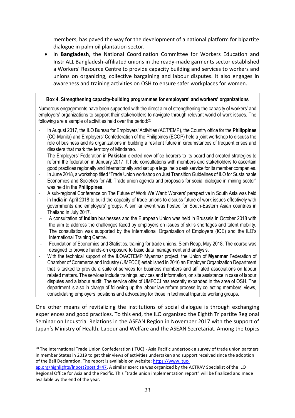members, has paved the way for the development of a national platform for bipartite dialogue in palm oil plantation sector.

 In **Bangladesh**, the National Coordination Committee for Workers Education and InstriALL Bangladesh-affiliated unions in the ready-made garments sector established a Workers' Resource Centre to provide capacity building and services to workers and unions on organizing, collective bargaining and labour disputes. It also engages in awareness and training activities on OSH to ensure safer workplaces for women.

### **Box 4. Strengthening capacity-building programmes for employers' and workers' organizations**

Numerous engagements have been supported with the direct aim of strengthening the capacity of workers' and employers' organizations to support their stakeholders to navigate through relevant world of work issues. The following are a sample of activities held over the period:<sup>20</sup>

- In August 2017, the ILO Bureau for Employers' Activities (ACT/EMP), the Country office for the **Philippines** (CO-Manila) and Employers' Confederation of the Philippines (ECOP) held a joint workshop to discuss the role of business and its organizations in building a resilient future in circumstances of frequent crises and disasters that mark the territory of Mindanao.
- The Employers' Federation in **Pakistan** elected new office bearers to its board and created strategies to reform the federation in January 2017. It held consultations with members and stakeholders to ascertain good practices regionally and internationally and set up a legal help desk service for its member companies.
- In June 2018, a workshop titled "Trade Union workshop on Just Transition Guidelines of ILO for Sustainable Economies and Societies for All: Trade union agenda and proposals for social dialogue in mining sector" was held in the **Philippines**.
- A sub-regional Conference on The Future of Work We Want: Workers' perspective in South Asia was held in **India** in April 2018 to build the capacity of trade unions to discuss future of work issues effectively with governments and employers' groups. A similar event was hosted for South-Eastern Asian countries in Thailand in July 2017.
- A consultation of **Indian** businesses and the European Union was held in Brussels in October 2018 with the aim to address the challenges faced by employers on issues of skills shortages and talent mobility. The consultation was supported by the International Organization of Employers (IOE) and the ILO's International Training Centre.
- Foundation of Economics and Statistics, training for trade unions, Siem Reap, May 2018. The course was designed to provide hands-on exposure to basic data management and analysis.
- With the technical support of the ILO/ACTEMP Myanmar project, the Union of **Myanmar** Federation of Chamber of Commerce and Industry (UMFCCI) established in 2016 an Employer Organization Department that is tasked to provide a suite of services for business members and affiliated associations on labour related matters. The services include trainings, advices and information, on site assistance in case of labour disputes and a labour audit. The service offer of UMFCCI has recently expanded in the area of OSH. The department is also in charge of following up the labour law reform process by collecting members' views, consolidating employers' positions and advocating for those in technical tripartite working groups.

One other means of revitalizing the institutions of social dialogue is through exchanging experiences and good practices. To this end, the ILO organized the Eighth Tripartite Regional Seminar on Industrial Relations in the ASEAN Region in November 2017 with the support of Japan's Ministry of Health, Labour and Welfare and the ASEAN Secretariat. Among the topics

1

<sup>&</sup>lt;sup>20</sup> The International Trade Union Confederation (ITUC) - Asia Pacific undertook a survey of trade union partners in member States in 2019 to get their views of activities undertaken and support received since the adoption of the Bali Declaration. The report is available on website: [https://www.ituc-](https://www.ituc-ap.org/highlights/lnpost?postid=47)

[ap.org/highlights/lnpost?postid=47.](https://www.ituc-ap.org/highlights/lnpost?postid=47) A similar exercise was organized by the ACTRAV Specialist of the ILO Regional Office for Asia and the Pacific. This "trade union implementation report" will be finalized and made available by the end of the year.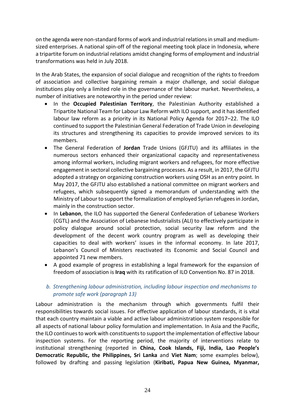on the agenda were non-standard forms of work and industrial relations in small and mediumsized enterprises. A national spin-off of the regional meeting took place in Indonesia, where a tripartite forum on industrial relations amidst changing forms of employment and industrial transformations was held in July 2018.

In the Arab States, the expansion of social dialogue and recognition of the rights to freedom of association and collective bargaining remain a major challenge, and social dialogue institutions play only a limited role in the governance of the labour market. Nevertheless, a number of initiatives are noteworthy in the period under review:

- In the **Occupied Palestinian Territory**, the Palestinian Authority established a Tripartite National Team for Labour Law Reform with ILO support, and it has identified labour law reform as a priority in its National Policy Agenda for 2017–22. The ILO continued to support the Palestinian General Federation of Trade Union in developing its structures and strengthening its capacities to provide improved services to its members.
- The General Federation of **Jordan** Trade Unions (GFJTU) and its affiliates in the numerous sectors enhanced their organizational capacity and representativeness among informal workers, including migrant workers and refugees, for more effective engagement in sectoral collective bargaining processes. As a result, in 2017, the GFJTU adopted a strategy on organizing construction workers using OSH as an entry point. In May 2017, the GFJTU also established a national committee on migrant workers and refugees, which subsequently signed a memorandum of understanding with the Ministry of Labour to support the formalization of employed Syrian refugees in Jordan, mainly in the construction sector.
- In **Lebanon**, the ILO has supported the General Confederation of Lebanese Workers (CGTL) and the Association of Lebanese Industrialists (ALI) to effectively participate in policy dialogue around social protection, social security law reform and the development of the decent work country program as well as developing their capacities to deal with workers' issues in the informal economy. In late 2017, Lebanon's Council of Ministers reactivated its Economic and Social Council and appointed 71 new members.
- A good example of progress in establishing a legal framework for the expansion of freedom of association is **Iraq** with its ratification of ILO Convention No. 87 in 2018.

# *b. Strengthening labour administration, including labour inspection and mechanisms to promote safe work (paragraph 13)*

Labour administration is the mechanism through which governments fulfil their responsibilities towards social issues. For effective application of labour standards, it is vital that each country maintain a viable and active labour administration system responsible for all aspects of national labour policy formulation and implementation. In Asia and the Pacific, the ILO continues to work with constituents to support the implementation of effective labour inspection systems. For the reporting period, the majority of interventions relate to institutional strengthening (reported in **China, Cook Islands, Fiji, India, Lao People's Democratic Republic, the Philippines, Sri Lanka** and **Viet Nam**; some examples below), followed by drafting and passing legislation (**Kiribati, Papua New Guinea, Myanmar,**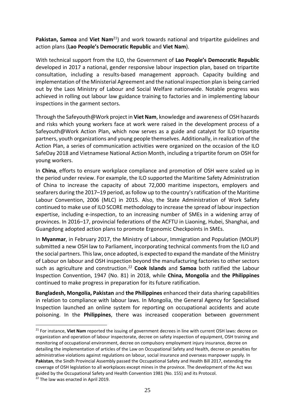**Pakistan, Samoa** and **Viet Nam**<sup>21</sup>) and work towards national and tripartite guidelines and action plans (**Lao People's Democratic Republic** and **Viet Nam**).

With technical support from the ILO, the Government of **Lao People's Democratic Republic**  developed in 2017 a national, gender responsive labour inspection plan, based on tripartite consultation, including a results-based management approach. Capacity building and implementation of the Ministerial Agreement and the national inspection plan is being carried out by the Laos Ministry of Labour and Social Welfare nationwide. Notable progress was achieved in rolling out labour law guidance training to factories and in implementing labour inspections in the garment sectors.

Through the Safeyouth@Work project in **Viet Nam**, knowledge and awareness of OSH hazards and risks which young workers face at work were raised in the development process of a Safeyouth@Work Action Plan, which now serves as a guide and catalyst for ILO tripartite partners, youth organizations and young people themselves. Additionally, in realization of the Action Plan, a series of communication activities were organized on the occasion of the ILO SafeDay 2018 and Vietnamese National Action Month, including a tripartite forum on OSH for young workers.

In **China**, efforts to ensure workplace compliance and promotion of OSH were scaled up in the period under review. For example, the ILO supported the Maritime Safety Administration of China to increase the capacity of about 72,000 maritime inspectors, employers and seafarers during the 2017–19 period, as follow up to the country's ratification of the Maritime Labour Convention, 2006 (MLC) in 2015. Also, the State Administration of Work Safety continued to make use of ILO SCORE methodology to increase the spread of labour inspection expertise, including e-inspection, to an increasing number of SMEs in a widening array of provinces. In 2016–17, provincial federations of the ACFTU in Liaoning, Hubei, Shanghai, and Guangdong adopted action plans to promote Ergonomic Checkpoints in SMEs.

In **Myanmar**, in February 2017, the Ministry of Labour, Immigration and Population (MOLIP) submitted a new OSH law to Parliament, incorporating technical comments from the ILO and the social partners. This law, once adopted, is expected to expand the mandate of the Ministry of Labour on labour and OSH inspection beyond the manufacturing factories to other sectors such as agriculture and construction.<sup>22</sup> **Cook Islands** and **Samoa** both ratified the Labour Inspection Convention, 1947 (No. 81) in 2018, while **China, Mongolia** and **the Philippines** continued to make progress in preparation for its future ratification.

**Bangladesh, Mongolia, Pakistan** and **the Philippines** enhanced their data sharing capabilities in relation to compliance with labour laws. In Mongolia, the General Agency for Specialised Inspection launched an online system for reporting on occupational accidents and acute poisoning. In the **Philippines**, there was increased cooperation between government

1

<sup>&</sup>lt;sup>21</sup> For instance, Viet Nam reported the issuing of government decrees in line with current OSH laws: decree on organization and operation of labour inspectorate, decree on safety inspection of equipment, OSH training and monitoring of occupational environment, decree on compulsory employment injury insurance, decree on detailing the implementation of articles of the Law on Occupational Safety and Health, decree on penalties for administrative violations against regulations on labour, social insurance and overseas manpower supply. In **Pakistan**, the Sindh Provincial Assembly passed the Occupational Safety and Health Bill 2017, extending the coverage of OSH legislation to all workplaces except mines in the province. The development of the Act was guided by the Occupational Safety and Health Convention 1981 (No. 155) and its Protocol.

<sup>&</sup>lt;sup>22</sup> The law was enacted in April 2019.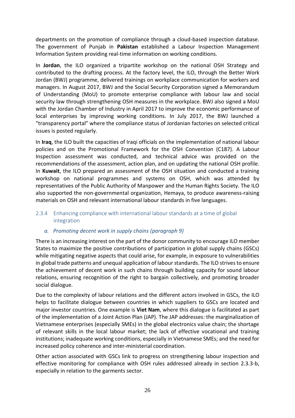departments on the promotion of compliance through a cloud-based inspection database. The government of Punjab in **Pakistan** established a Labour Inspection Management Information System providing real-time information on working conditions.

In **Jordan**, the ILO organized a tripartite workshop on the national OSH Strategy and contributed to the drafting process. At the factory level, the ILO, through the Better Work Jordan (BWJ) programme, delivered trainings on workplace communication for workers and managers. In August 2017, BWJ and the Social Security Corporation signed a Memorandum of Understanding (MoU) to promote enterprise compliance with labour law and social security law through strengthening OSH measures in the workplace. BWJ also signed a MoU with the Jordan Chamber of Industry in April 2017 to improve the economic performance of local enterprises by improving working conditions. In July 2017, the BWJ launched a "transparency portal" where the compliance status of Jordanian factories on selected critical issues is posted regularly.

In **Iraq**, the ILO built the capacities of Iraqi officials on the implementation of national labour policies and on the Promotional Framework for the OSH Convention (C187). A Labour Inspection assessment was conducted, and technical advice was provided on the recommendations of the assessment, action plan, and on updating the national OSH profile. In **Kuwait**, the ILO prepared an assessment of the OSH situation and conducted a training workshop on national programmes and systems on OSH, which was attended by representatives of the Public Authority of Manpower and the Human Rights Society. The ILO also supported the non-governmental organization, Hemaya, to produce awareness-raising materials on OSH and relevant international labour standards in five languages.

# <span id="page-27-0"></span>2.3.4 Enhancing compliance with international labour standards at a time of global integration

# *a. Promoting decent work in supply chains (paragraph 9)*

There is an increasing interest on the part of the donor community to encourage ILO member States to maximize the positive contributions of participation in global supply chains (GSCs) while mitigating negative aspects that could arise, for example, in exposure to vulnerabilities in global trade patterns and unequal application of labour standards. The ILO strives to ensure the achievement of decent work in such chains through building capacity for sound labour relations, ensuring recognition of the right to bargain collectively, and promoting broader social dialogue.

Due to the complexity of labour relations and the different actors involved in GSCs, the ILO helps to facilitate dialogue between countries in which suppliers to GSCs are located and major investor countries. One example is **Viet Nam**, where this dialogue is facilitated as part of the implementation of a Joint Action Plan (JAP). The JAP addresses: the marginalization of Vietnamese enterprises (especially SMEs) in the global electronics value chain; the shortage of relevant skills in the local labour market; the lack of effective vocational and training institutions; inadequate working conditions, especially in Vietnamese SMEs; and the need for increased policy coherence and inter-ministerial coordination.

Other action associated with GSCs link to progress on strengthening labour inspection and effective monitoring for compliance with OSH rules addressed already in section 2.3.3-b, especially in relation to the garments sector.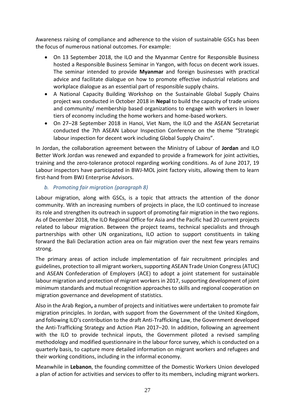Awareness raising of compliance and adherence to the vision of sustainable GSCs has been the focus of numerous national outcomes. For example:

- On 13 September 2018, the ILO and the Myanmar Centre for Responsible Business hosted a Responsible Business Seminar in Yangon, with focus on decent work issues. The seminar intended to provide **Myanmar** and foreign businesses with practical advice and facilitate dialogue on how to promote effective industrial relations and workplace dialogue as an essential part of responsible supply chains.
- A National Capacity Building Workshop on the Sustainable Global Supply Chains project was conducted in October 2018 in **Nepal** to build the capacity of trade unions and community/ membership based organizations to engage with workers in lower tiers of economy including the home workers and home-based workers.
- On 27–28 September 2018 in Hanoi, Viet Nam, the ILO and the ASEAN Secretariat conducted the 7th ASEAN Labour Inspection Conference on the theme "Strategic labour inspection for decent work including Global Supply Chains".

In Jordan, the collaboration agreement between the Ministry of Labour of **Jordan** and ILO Better Work Jordan was renewed and expanded to provide a framework for joint activities, training and the zero-tolerance protocol regarding working conditions. As of June 2017, 19 Labour inspectors have participated in BWJ-MOL joint factory visits, allowing them to learn first-hand from BWJ Enterprise Advisors.

# *b. Promoting fair migration (paragraph 8)*

Labour migration, along with GSCs, is a topic that attracts the attention of the donor community. With an increasing numbers of projects in place, the ILO continued to increase its role and strengthen its outreach in support of promoting fair migration in the two regions. As of December 2018, the ILO Regional Office for Asia and the Pacific had 20 current projects related to labour migration. Between the project teams, technical specialists and through partnerships with other UN organizations, ILO action to support constituents in taking forward the Bali Declaration action area on fair migration over the next few years remains strong.

The primary areas of action include implementation of fair recruitment principles and guidelines, protection to all migrant workers, supporting ASEAN Trade Union Congress (ATUC) and ASEAN Confederation of Employers (ACE) to adopt a joint statement for sustainable labour migration and protection of migrant workers in 2017, supporting development of joint minimum standards and mutual recognition approaches to skills and regional cooperation on migration governance and development of statistics.

Also in the Arab Region**,** a number of projects and initiatives were undertaken to promote fair migration principles. In Jordan, with support from the Government of the United Kingdom, and following ILO's contribution to the draft Anti-Trafficking Law, the Government developed the Anti-Trafficking Strategy and Action Plan 2017–20. In addition, following an agreement with the ILO to provide technical inputs, the Government piloted a revised sampling methodology and modified questionnaire in the labour force survey, which is conducted on a quarterly basis, to capture more detailed information on migrant workers and refugees and their working conditions, including in the informal economy.

Meanwhile in **Lebanon**, the founding committee of the Domestic Workers Union developed a plan of action for activities and services to offer to its members, including migrant workers.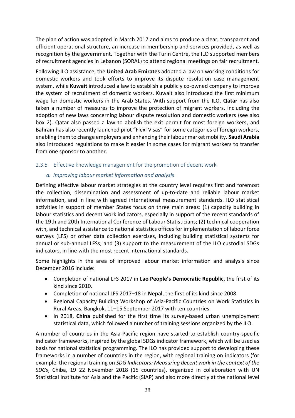The plan of action was adopted in March 2017 and aims to produce a clear, transparent and efficient operational structure, an increase in membership and services provided, as well as recognition by the government. Together with the Turin Centre, the ILO supported members of recruitment agencies in Lebanon (SORAL) to attend regional meetings on fair recruitment.

Following ILO assistance, the **United Arab Emirates** adopted a law on working conditions for domestic workers and took efforts to improve its dispute resolution case management system, while **Kuwait** introduced a law to establish a publicly co-owned company to improve the system of recruitment of domestic workers. Kuwait also introduced the first minimum wage for domestic workers in the Arab States. With support from the ILO, **Qatar** has also taken a number of measures to improve the protection of migrant workers, including the adoption of new laws concerning labour dispute resolution and domestic workers (see also box 2). Qatar also passed a law to abolish the exit permit for most foreign workers, and Bahrain has also recently launched pilot "Flexi Visas" for some categories of foreign workers, enabling them to change employers and enhancing their labour market mobility. **Saudi Arabia**  also introduced regulations to make it easier in some cases for migrant workers to transfer from one sponsor to another.

### <span id="page-29-0"></span>2.3.5 Effective knowledge management for the promotion of decent work

# *a. Improving labour market information and analysis*

Defining effective labour market strategies at the country level requires first and foremost the collection, dissemination and assessment of up-to-date and reliable labour market information, and in line with agreed international measurement standards. ILO statistical activities in support of member States focus on three main areas: (1) capacity building in labour statistics and decent work indicators, especially in support of the recent standards of the 19th and 20th International Conference of Labour Statisticians; (2) technical cooperation with, and technical assistance to national statistics offices for implementation of labour force surveys (LFS) or other data collection exercises, including building statistical systems for annual or sub-annual LFSs; and (3) support to the measurement of the ILO custodial SDGs indicators, in line with the most recent international standards.

Some highlights in the area of improved labour market information and analysis since December 2016 include:

- Completion of national LFS 2017 in **Lao People's Democratic Republic**, the first of its kind since 2010.
- Completion of national LFS 2017–18 in **Nepal**, the first of its kind since 2008.
- Regional Capacity Building Workshop of Asia-Pacific Countries on Work Statistics in Rural Areas, Bangkok, 11–15 September 2017 with ten countries.
- In 2018, **China** published for the first time its survey-based urban unemployment statistical data, which followed a number of training sessions organized by the ILO.

A number of countries in the Asia-Pacific region have started to establish country-specific indicator frameworks, inspired by the global SDGs indicator framework, which will be used as basis for national statistical programming. The ILO has provided support to developing these frameworks in a number of countries in the region, with regional training on indicators (for example, the regional training on *SDG Indicators: Measuring decent work in the context of the SDGs*, Chiba, 19–22 November 2018 (15 countries), organized in collaboration with UN Statistical Institute for Asia and the Pacific (SIAP) and also more directly at the national level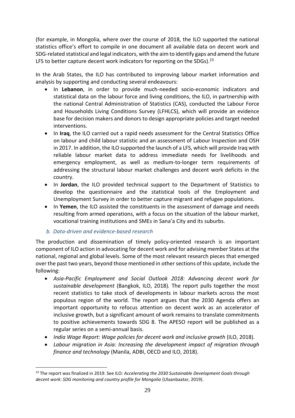(for example, in Mongolia, where over the course of 2018, the ILO supported the national statistics office's effort to compile in one document all available data on decent work and SDG-related statistical and legal indicators, with the aim to identify gaps and amend the future LFS to better capture decent work indicators for reporting on the SDGs).<sup>23</sup>

In the Arab States, the ILO has contributed to improving labour market information and analysis by supporting and conducting several endeavours:

- In **Lebanon**, in order to provide much-needed socio-economic indicators and statistical data on the labour force and living conditions, the ILO, in partnership with the national Central Administration of Statistics (CAS), conducted the Labour Force and Households Living Conditions Survey (LFHLCS), which will provide an evidence base for decision makers and donors to design appropriate policies and target needed interventions.
- In **Iraq**, the ILO carried out a rapid needs assessment for the Central Statistics Office on labour and child labour statistic and an assessment of Labour Inspection and OSH in 2017. In addition, the ILO supported the launch of a LFS, which will provide Iraq with reliable labour market data to address immediate needs for livelihoods and emergency employment, as well as medium-to-longer term requirements of addressing the structural labour market challenges and decent work deficits in the country.
- In **Jordan**, the ILO provided technical support to the Department of Statistics to develop the questionnaire and the statistical tools of the Employment and Unemployment Survey in order to better capture migrant and refugee populations.
- In **Yemen**, the ILO assisted the constituents in the assessment of damage and needs resulting from armed operations, with a focus on the situation of the labour market, vocational training institutions and SMEs in Sana'a City and its suburbs.
- *b. Data-driven and evidence-based research*

1

The production and dissemination of timely policy-oriented research is an important component of ILO action in advocating for decent work and for advising member States at the national, regional and global levels. Some of the most relevant research pieces that emerged over the past two years, beyond those mentioned in other sections of this update, include the following:

- *Asia-Pacific Employment and Social Outlook 2018: Advancing decent work for sustainable development* (Bangkok, ILO, 2018)*.* The report pulls together the most recent statistics to take stock of developments in labour markets across the most populous region of the world. The report argues that the 2030 Agenda offers an important opportunity to refocus attention on decent work as an accelerator of inclusive growth, but a significant amount of work remains to translate commitments to positive achievements towards SDG 8. The APESO report will be published as a regular series on a semi-annual basis.
- India Wage Report: Wage policies for decent work and inclusive growth (ILO, 2018).
- *Labour migration in Asia: Increasing the development impact of migration through finance and technology* (Manila, ADBI, OECD and ILO, 2018).

<sup>23</sup> The report was finalized in 2019. See ILO: *Accelerating the 2030 Sustainable Development Goals through decent work: SDG monitoring and country profile for Mongolia* (Ulaanbaatar, 2019).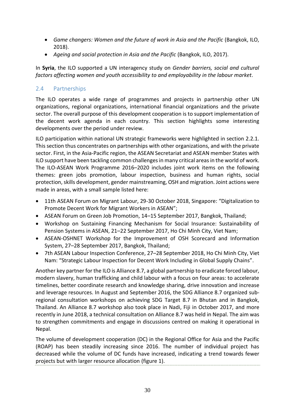- *Game changers: Women and the future of work in Asia and the Pacific* (Bangkok, ILO, 2018).
- *Ageing and social protection in Asia and the Pacific* (Bangkok, ILO, 2017).

In **Syria**, the ILO supported a UN interagency study on *Gender barriers, social and cultural factors affecting women and youth accessibility to and employability in the labour market*.

# <span id="page-31-0"></span>2.4 Partnerships

The ILO operates a wide range of programmes and projects in partnership other UN organizations, regional organizations, international financial organizations and the private sector. The overall purpose of this development cooperation is to support implementation of the decent work agenda in each country. This section highlights some interesting developments over the period under review.

ILO participation within national UN strategic frameworks were highlighted in section 2.2.1. This section thus concentrates on partnerships with other organizations, and with the private sector. First, in the Asia-Pacific region, the ASEAN Secretariat and ASEAN member States with ILO support have been tackling common challenges in many critical areas in the world of work. The ILO-ASEAN Work Programme 2016–2020 includes joint work items on the following themes: green jobs promotion, labour inspection, business and human rights, social protection, skills development, gender mainstreaming, OSH and migration. Joint actions were made in areas, with a small sample listed here:

- 11th ASEAN Forum on Migrant Labour, 29-30 October 2018, Singapore: "Digitalization to Promote Decent Work for Migrant Workers in ASEAN";
- ASEAN Forum on Green Job Promotion, 14–15 September 2017, Bangkok, Thailand;
- Workshop on Sustaining Financing Mechanism for Social Insurance: Sustainability of Pension Systems in ASEAN, 21–22 September 2017, Ho Chi Minh City, Viet Nam;
- ASEAN-OSHNET Workshop for the Improvement of OSH Scorecard and Information System, 27–28 September 2017, Bangkok, Thailand;
- 7th ASEAN Labour Inspection Conference, 27–28 September 2018, Ho Chi Minh City, Viet Nam: "Strategic Labour Inspection for Decent Work Including in Global Supply Chains".

Another key partner for the ILO is Alliance 8.7, a global partnership to eradicate forced labour, modern slavery, human trafficking and child labour with a focus on four areas: to accelerate timelines, better coordinate research and knowledge sharing, drive innovation and increase and leverage resources. In August and September 2016, the SDG Alliance 8.7 organized subregional consultation workshops on achieving SDG Target 8.7 in Bhutan and in Bangkok, Thailand. An Alliance 8.7 workshop also took place in Nadi, Fiji in October 2017, and more recently in June 2018, a technical consultation on Alliance 8.7 was held in Nepal. The aim was to strengthen commitments and engage in discussions centred on making it operational in Nepal.

The volume of development cooperation (DC) in the Regional Office for Asia and the Pacific (ROAP) has been steadily increasing since 2016. The number of individual project has decreased while the volume of DC funds have increased, indicating a trend towards fewer projects but with larger resource allocation (figure 1).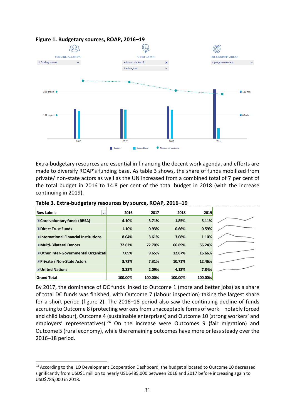

#### **Figure 1. Budgetary sources, ROAP, 2016–19**

Extra-budgetary resources are essential in financing the decent work agenda, and efforts are made to diversify ROAP's funding base. As table 3 shows, the share of funds mobilized from private/ non-state actors as well as the UN increased from a combined total of 7 per cent of the total budget in 2016 to 14.8 per cent of the total budget in 2018 (with the increase continuing in 2019).

| <b>Row Labels</b><br>÷t                      | 2016    | 2017    | 2018    | 2019    |  |
|----------------------------------------------|---------|---------|---------|---------|--|
| <b>E</b> Core voluntary funds (RBSA)         | 4.10%   | 3.71%   | 1.85%   | 5.11%   |  |
| <b>EDirect Trust Funds</b>                   | 1.10%   | 0.93%   | 0.66%   | 0.59%   |  |
| <b>⊞International Financial Institutions</b> | 8.04%   | 3.61%   | 3.08%   | 1.10%   |  |
| <b>E Multi-Bilateral Donors</b>              | 72.62%  | 72.70%  | 66.89%  | 56.24%  |  |
| E Other Inter-Governmental Organizati        | 7.09%   | 9.65%   | 12.67%  | 16.66%  |  |
| <b>⊞Private / Non-State Actors</b>           | 3.72%   | 7.31%   | 10.71%  | 12.46%  |  |
| <b>⊞United Nations</b>                       | 3.33%   | 2.09%   | 4.13%   | 7.84%   |  |
| <b>Grand Total</b>                           | 100.00% | 100.00% | 100.00% | 100.00% |  |

**Table 3. Extra-budgetary resources by source, ROAP, 2016–19**

<u>.</u>

By 2017, the dominance of DC funds linked to Outcome 1 (more and better jobs) as a share of total DC funds was finished, with Outcome 7 (labour inspection) taking the largest share for a short period (figure 2). The 2016–18 period also saw the continuing decline of funds accruing to Outcome 8 (protecting workers from unacceptable forms of work – notably forced and child labour), Outcome 4 (sustainable enterprises) and Outcome 10 (strong workers' and employers' representatives).<sup>24</sup> On the increase were Outcomes 9 (fair migration) and Outcome 5 (rural economy), while the remaining outcomes have more or less steady over the 2016–18 period.

<sup>&</sup>lt;sup>24</sup> According to the ILO Development Cooperation Dashboard, the budget allocated to Outcome 10 decreased significantly from USD\$1 million to nearly USD\$485,000 between 2016 and 2017 before increasing again to USD\$785,000 in 2018.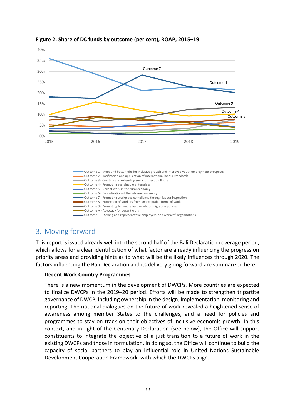

#### **Figure 2. Share of DC funds by outcome (per cent), ROAP, 2015–19**

# <span id="page-33-0"></span>3. Moving forward

This report is issued already well into the second half of the Bali Declaration coverage period, which allows for a clear identification of what factor are already influencing the progress on priority areas and providing hints as to what will be the likely influences through 2020. The factors influencing the Bali Declaration and its delivery going forward are summarized here:

#### - **Decent Work Country Programmes**

There is a new momentum in the development of DWCPs. More countries are expected to finalize DWCPs in the 2019–20 period. Efforts will be made to strengthen tripartite governance of DWCP, including ownership in the design, implementation, monitoring and reporting. The national dialogues on the future of work revealed a heightened sense of awareness among member States to the challenges, and a need for policies and programmes to stay on track on their objectives of inclusive economic growth. In this context, and in light of the Centenary Declaration (see below), the Office will support constituents to integrate the objective of a just transition to a future of work in the existing DWCPs and those in formulation. In doing so, the Office will continue to build the capacity of social partners to play an influential role in United Nations Sustainable Development Cooperation Framework, with which the DWCPs align.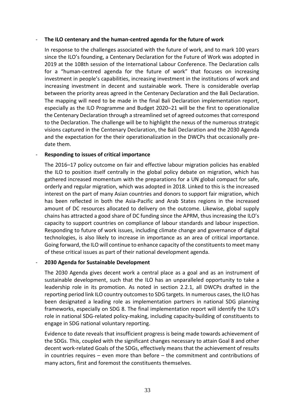#### - **The ILO centenary and the human-centred agenda for the future of work**

In response to the challenges associated with the future of work, and to mark 100 years since the ILO's founding, a Centenary Declaration for the Future of Work was adopted in 2019 at the 108th session of the International Labour Conference. The Declaration calls for a "human-centred agenda for the future of work" that focuses on increasing investment in people's capabilities, increasing investment in the institutions of work and increasing investment in decent and sustainable work. There is considerable overlap between the priority areas agreed in the Centenary Declaration and the Bali Declaration. The mapping will need to be made in the final Bali Declaration implementation report, especially as the ILO Programme and Budget 2020–21 will be the first to operationalize the Centenary Declaration through a streamlined set of agreed outcomes that correspond to the Declaration. The challenge will be to highlight the nexus of the numerous strategic visions captured in the Centenary Declaration, the Bali Declaration and the 2030 Agenda and the expectation for the their operationalization in the DWCPs that occasionally predate them.

### - **Responding to issues of critical importance**

The 2016–17 policy outcome on fair and effective labour migration policies has enabled the ILO to position itself centrally in the global policy debate on migration, which has gathered increased momentum with the preparations for a UN global compact for safe, orderly and regular migration, which was adopted in 2018. Linked to this is the increased interest on the part of many Asian countries and donors to support fair migration, which has been reflected in both the Asia-Pacific and Arab States regions in the increased amount of DC resources allocated to delivery on the outcome. Likewise, global supply chains has attracted a good share of DC funding since the APRM, thus increasing the ILO's capacity to support countries on compliance of labour standards and labour inspection. Responding to future of work issues, including climate change and governance of digital technologies, is also likely to increase in importance as an area of critical importance. Going forward, the ILO will continue to enhance capacity of the constituents to meet many of these critical issues as part of their national development agenda.

#### - **2030 Agenda for Sustainable Development**

The 2030 Agenda gives decent work a central place as a goal and as an instrument of sustainable development, such that the ILO has an unparalleled opportunity to take a leadership role in its promotion. As noted in section 2.2.1, all DWCPs drafted in the reporting period link ILO country outcomes to SDG targets. In numerous cases, the ILO has been designated a leading role as implementation partners in national SDG planning frameworks, especially on SDG 8. The final implementation report will identify the ILO's role in national SDG-related policy-making, including capacity-building of constituents to engage in SDG national voluntary reporting.

Evidence to date reveals that insufficient progress is being made towards achievement of the SDGs. This, coupled with the significant changes necessary to attain Goal 8 and other decent work-related Goals of the SDGs, effectively means that the achievement of results in countries requires – even more than before – the commitment and contributions of many actors, first and foremost the constituents themselves.